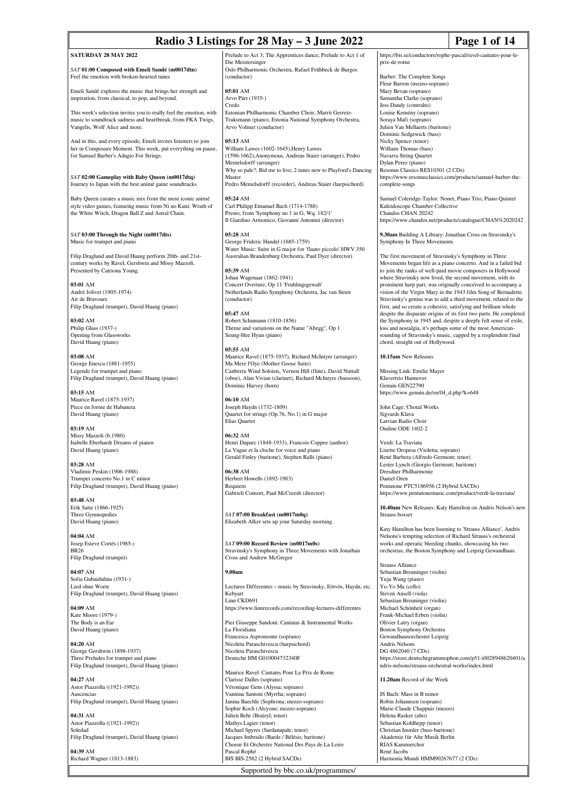| Radio 3 Listings for 28 May - 3 June 2022<br>Page 1 of 14                                                                                                           |                                                                                                                                            |                                                                                                    |                                                                    |
|---------------------------------------------------------------------------------------------------------------------------------------------------------------------|--------------------------------------------------------------------------------------------------------------------------------------------|----------------------------------------------------------------------------------------------------|--------------------------------------------------------------------|
| <b>SATURDAY 28 MAY 2022</b>                                                                                                                                         | Prelude to Act 3; The Apprentices dance; Prelude to Act 1 of                                                                               | https://bis.se/conductors/rophe-pascal/ravel-cantates-pour-le-                                     |                                                                    |
| SAT 01:00 Composed with Emeli Sandé (m0017dtn)<br>Feel the emotion with broken-hearted tunes                                                                        | Die Meistersinger<br>Oslo Philharmonic Orchestra, Rafael Frühbeck de Burgos<br>(conductor)                                                 | prix-de-rome<br>Barber: The Complete Songs                                                         |                                                                    |
|                                                                                                                                                                     |                                                                                                                                            | Fleur Barron (mezzo-soprano)                                                                       |                                                                    |
| Emeli Sandé explores the music that brings her strength and<br>inspiration, from classical, to pop, and beyond.                                                     | 05:01 AM<br>Arvo Pärt (1935-)                                                                                                              | Mary Bevan (soprano)<br>Samantha Clarke (soprano)                                                  |                                                                    |
|                                                                                                                                                                     | Credo                                                                                                                                      | Jess Dandy (contralto)                                                                             |                                                                    |
| This week's selection invites you to really feel the emotion, with<br>music to soundtrack sadness and heartbreak, from FKA Twigs,<br>Vangelis, Wolf Alice and more. | Estonian Philharmonic Chamber Choir, Marrit Gerretz-<br>Traksmann (piano), Estonia National Symphony Orchestra,<br>Arvo Volmer (conductor) | Louise Kemény (soprano)<br>Soraya Mafi (soprano)<br>Julien Van Mellaerts (baritone)                |                                                                    |
| And in this, and every episode, Emeli invites listeners to join                                                                                                     | 05:13 AM                                                                                                                                   | Dominic Sedgewick (bass)<br>Nicky Spence (tenor)                                                   |                                                                    |
| her in Composure Moment. This week, put everything on pause,                                                                                                        | William Lawes (1602-1645), Henry Lawes                                                                                                     | William Thomas (bass)                                                                              |                                                                    |
| for Samuel Barber's Adagio For Strings.                                                                                                                             | (1596-1662), Anonymous, Andreas Staier (arranger), Pedro<br>Memelsdorff (arranger)                                                         | Navarra String Quartet<br>Dylan Perez (piano)                                                      |                                                                    |
|                                                                                                                                                                     | Why so pale?; Bid me to live; 2 tunes new to Playford's Dancing                                                                            | Resonus Classics RES10301 (2 CDs)                                                                  |                                                                    |
| SAT 02:00 Gameplay with Baby Queen (m0017dtq)<br>Journey to Japan with the best animé game soundtracks                                                              | Master<br>Pedro Memelsdorff (recorder), Andreas Staier (harpsichord)                                                                       | https://www.resonusclassics.com/products/samuel-barber-the-<br>complete-songs                      |                                                                    |
| Baby Queen curates a music mix from the most iconic animé                                                                                                           | 05:24 AM                                                                                                                                   | Samuel Coleridge-Taylor: Nonet, Piano Trio, Piano Quintet                                          |                                                                    |
| style video games, featuring music from Ni no Kuni: Wrath of<br>the White Witch, Dragon Ball Z and Astral Chain.                                                    | Carl Philipp Emanuel Bach (1714-1788)<br>Presto, from 'Symphony no 1 in G, Wq. 182/1'                                                      | Kaleidoscope Chamber Collective<br>Chandos CHAN 20242                                              |                                                                    |
|                                                                                                                                                                     | Il Giardino Armonico, Giovanni Antonini (director)                                                                                         |                                                                                                    | https://www.chandos.net/products/catalogue/CHAN%2020242            |
| SAT 03:00 Through the Night (m0017dts)                                                                                                                              | 05:28 AM                                                                                                                                   | 9.30am Building A Library: Jonathan Cross on Stravinsky's                                          |                                                                    |
| Music for trumpet and piano                                                                                                                                         | George Frideric Handel (1685-1759)                                                                                                         | Symphony In Three Movements                                                                        |                                                                    |
| Filip Draglund and David Huang perform 20th- and 21st-                                                                                                              | Water Music: Suite in G major for 'flauto piccolo' HWV 350<br>Australian Brandenburg Orchestra, Paul Dyer (director)                       | The first movement of Stravinsky's Symphony in Three                                               |                                                                    |
| century works by Ravel, Gershwin and Missy Mazzoli.                                                                                                                 |                                                                                                                                            |                                                                                                    | Movements began life as a piano concerto. And in a failed bid      |
| Presented by Catriona Young.                                                                                                                                        | 05:39 AM<br>Johan Wagenaar (1862-1941)                                                                                                     | where Stravinsky now lived, the second movement, with its                                          | to join the ranks of well-paid movie composers in Hollywood        |
| 03:01 AM                                                                                                                                                            | Concert Overture, Op 11 'Fruhlingsgewalt'                                                                                                  |                                                                                                    | prominent harp part, was originally conceived to accompany a       |
| André Jolivet (1905-1974)<br>Air de Bravoure                                                                                                                        | Netherlands Radio Symphony Orchestra, Jac van Steen<br>(conductor)                                                                         |                                                                                                    | vision of the Virgin Mary in the 1943 film Song of Bernadette.     |
| Filip Draglund (trumpet), David Huang (piano)                                                                                                                       |                                                                                                                                            | first, and so create a cohesive, satisfying and brilliant whole                                    | Stravinsky's genius was to add a third movement, related to the    |
|                                                                                                                                                                     | 05:47 AM                                                                                                                                   |                                                                                                    | despite the disparate origins of its first two parts. He completed |
| 03:02 AM<br>Philip Glass (1937-)                                                                                                                                    | Robert Schumann (1810-1856)<br>Theme and variations on the Name "Abegg", Op 1                                                              | loss and nostalgia, it's perhaps some of the most American-                                        | the Symphony in 1945 and, despite a deeply felt sense of exile,    |
| Opening from Glassworks                                                                                                                                             | Seung-Hee Hyun (piano)                                                                                                                     |                                                                                                    | sounding of Stravinsky's music, capped by a resplendent final      |
| David Huang (piano)                                                                                                                                                 | 05:55 AM                                                                                                                                   | chord, straight out of Hollywood.                                                                  |                                                                    |
| 03:08 AM                                                                                                                                                            | Maurice Ravel (1875-1937), Richard McIntyre (arranger)                                                                                     | 10.15am New Releases                                                                               |                                                                    |
| George Enescu (1881-1955)                                                                                                                                           | Ma Mere l'Oye (Mother Goose Suite)                                                                                                         |                                                                                                    |                                                                    |
| Legende for trumpet and piano<br>Filip Draglund (trumpet), David Huang (piano)                                                                                      | Canberra Wind Soloists, Vernon Hill (flute), David Nuttall<br>(oboe), Alan Vivian (clarinet), Richard McIntyre (bassoon),                  | Missing Link: Emilie Mayer<br>Klavertrio Hannover                                                  |                                                                    |
|                                                                                                                                                                     | Dominic Harvey (horn)                                                                                                                      | Genuin GEN22790                                                                                    |                                                                    |
| 03:15 AM<br>Maurice Ravel (1875-1937)                                                                                                                               | 06:10 AM                                                                                                                                   | https://www.genuin.de/en/04_d.php?k=648                                                            |                                                                    |
| Piece en forme de Habanera                                                                                                                                          | Joseph Haydn (1732-1809)                                                                                                                   | John Cage: Choral Works                                                                            |                                                                    |
| David Huang (piano)                                                                                                                                                 | Quartet for strings (Op.76, No.1) in G major<br>Elias Quartet                                                                              | Sigvards Klava<br>Latvian Radio Choir                                                              |                                                                    |
| 03:19 AM                                                                                                                                                            |                                                                                                                                            | Ondine ODE 1402-2                                                                                  |                                                                    |
| Missy Mazzoli (b.1980)<br>Isabelle Eberhardt Dreams of pianos                                                                                                       | 06:32 AM<br>Henri Duparc (1848-1933), Francois Coppee (author)                                                                             | Verdi: La Traviata                                                                                 |                                                                    |
| David Huang (piano)                                                                                                                                                 | La Vague et la cloche for voice and piano                                                                                                  | Lisette Oropesa (Violetta; soprano)                                                                |                                                                    |
| 03:28 AM                                                                                                                                                            | Gerald Finley (baritone), Stephen Ralls (piano)                                                                                            | René Barbera (Alfredo Germont; tenor)<br>Lester Lynch (Giorgio Germont; baritone)                  |                                                                    |
| Vladimir Peskin (1906-1988)                                                                                                                                         | 06:38 AM                                                                                                                                   | Dresdner Philharmonie                                                                              |                                                                    |
| Trumpet concerto No.1 in C minor                                                                                                                                    | Herbert Howells (1892-1983)                                                                                                                | Daniel Oren                                                                                        |                                                                    |
| Filip Draglund (trumpet), David Huang (piano)                                                                                                                       | Requiem<br>Gabrieli Consort, Paul McCreesh (director)                                                                                      | Pentatone PTC5186956 (2 Hybrid SACDs)<br>https://www.pentatonemusic.com/product/verdi-la-traviata/ |                                                                    |
| 03:48 AM                                                                                                                                                            |                                                                                                                                            |                                                                                                    |                                                                    |
| Erik Satie (1866-1925)<br>Three Gymnopedies                                                                                                                         | SAT 07:00 Breakfast (m0017m0q)                                                                                                             | Strauss boxset                                                                                     | 10.40am New Releases: Katy Hamilton on Andris Nelson's new         |
| David Huang (piano)                                                                                                                                                 | Elizabeth Alker sets up your Saturday morning.                                                                                             |                                                                                                    |                                                                    |
| $04:04$ AM                                                                                                                                                          |                                                                                                                                            | Nelsons's tempting selection of Richard Strauss's orchestral                                       | Katy Hamilton has been listening to 'Strauss Alliance', Andris     |
| Josep Esteve Cortés (1985-)                                                                                                                                         | SAT 09:00 Record Review (m0017m0s)                                                                                                         | works and operatic bleeding chunks, showcasing his two                                             |                                                                    |
| <b>BR26</b><br>Filip Draglund (trumpet)                                                                                                                             | Stravinsky's Symphony in Three Movements with Jonathan<br>Cross and Andrew McGregor                                                        | orchestras, the Boston Symphony and Leipzig Gewandhaus.                                            |                                                                    |
|                                                                                                                                                                     |                                                                                                                                            | <b>Strauss Alliance</b>                                                                            |                                                                    |
| 04:07 AM<br>Sofia Gubaidulina (1931-)                                                                                                                               | 9.00am                                                                                                                                     | Sebastian Breuninger (violin)<br>Yuja Wang (piano)                                                 |                                                                    |
| Lied ohne Worte                                                                                                                                                     | Lectures Differentes - music by Stravinsky, Eötvös, Haydn, etc.                                                                            | Yo-Yo Ma (cello)                                                                                   |                                                                    |
| Filip Draglund (trumpet), David Huang (piano)                                                                                                                       | Kebyart                                                                                                                                    | Steven Ansell (viola)                                                                              |                                                                    |
| 04:09 AM                                                                                                                                                            | Linn CKD691<br>https://www.linnrecords.com/recording-lectures-differentes                                                                  | Sebastian Breuninger (violin)<br>Michael Schönheit (organ)                                         |                                                                    |
| Kate Moore (1979-)                                                                                                                                                  |                                                                                                                                            | Frank-Michael Erben (violin)                                                                       |                                                                    |
| The Body is an Ear<br>David Huang (piano)                                                                                                                           | Pier Giuseppe Sandoni: Cantatas & Instrumental Works<br>La Floridiana                                                                      | Olivier Latry (organ)<br>Boston Symphony Orchestra                                                 |                                                                    |
|                                                                                                                                                                     | Francesca Aspromonte (soprano)                                                                                                             | Gewandhausorchester Leipzig                                                                        |                                                                    |
| 04:20 AM<br>George Gershwin (1898-1937)                                                                                                                             | Nicoleta Paraschivescu (harpsichord)<br>Nicoleta Paraschivescu                                                                             | Andris Nelsons<br>DG 4862040 (7 CDs)                                                               |                                                                    |
| Three Preludes for trumpet and piano                                                                                                                                | Deutsche HM G010004732340F                                                                                                                 |                                                                                                    | https://store.deutschegrammophon.com/p51-i0028948620401/a          |
| Filip Draglund (trumpet), David Huang (piano)                                                                                                                       |                                                                                                                                            | ndris-nelsons/strauss-orchestral-works/index.html                                                  |                                                                    |
| 04:27 AM                                                                                                                                                            | Maurice Ravel: Cantates Pour Le Prix de Rome<br>Clarisse Dalles (soprano)                                                                  | 11.20am Record of the Week                                                                         |                                                                    |
| Astor Piazzolla ((1921-1992))                                                                                                                                       | Véronique Gens (Alyssa; soprano)                                                                                                           |                                                                                                    |                                                                    |
| Auscencias<br>Filip Draglund (trumpet), David Huang (piano)                                                                                                         | Vannina Santoni (Myrrha; soprano)<br>Janina Baechle (Sophrona; mezzo-soprano)                                                              | JS Bach: Mass in B minor<br>Robin Johannsen (soprano)                                              |                                                                    |
|                                                                                                                                                                     | Sophie Koch (Alcyone; mezzo-soprano)                                                                                                       | Marie-Claude Chappuis (mezzo)                                                                      |                                                                    |
| 04:31 AM<br>Astor Piazzolla ((1921-1992))                                                                                                                           | Julien Behr (Braïzyl; tenor)<br>Mathys Lagier (tenor)                                                                                      | Helena Rasker (alto)<br>Sebastian Kohlhepp (tenor)                                                 |                                                                    |
| Soledad                                                                                                                                                             | Michael Spyres (Sardanapale; tenor)                                                                                                        | Christian Immler (bass-baritone)                                                                   |                                                                    |
| Filip Draglund (trumpet), David Huang (piano)                                                                                                                       | Jacques Imbrailo (Barde / Bélésis; baritone)                                                                                               | Akademie für Alte Musik Berlin<br><b>RIAS Kammerchor</b>                                           |                                                                    |
| 04:39 AM                                                                                                                                                            | Choeur Et Orchestre National Des Pays de La Loire<br>Pascal Rophé                                                                          | René Jacobs                                                                                        |                                                                    |
| Richard Wagner (1813-1883)                                                                                                                                          | BIS BIS-2582 (2 Hybrid SACDs)                                                                                                              | Harmonia Mundi HMM90267677 (2 CDs)                                                                 |                                                                    |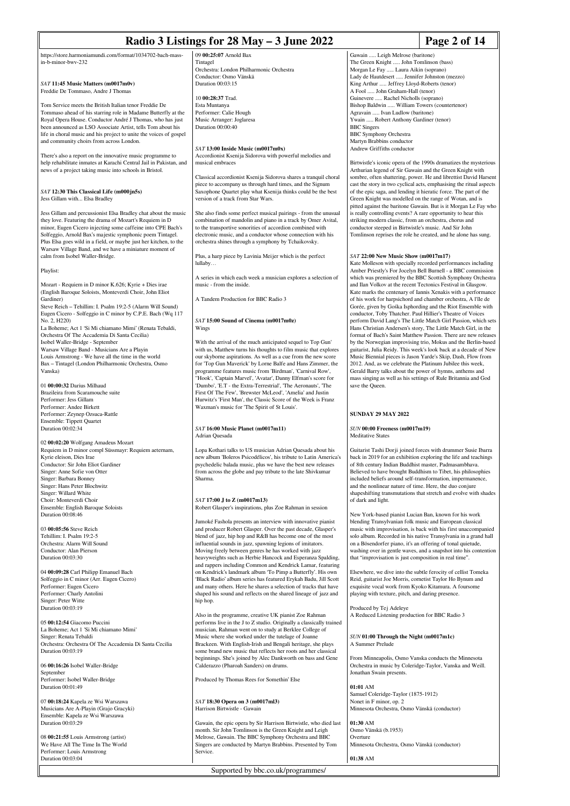| Radio 3 Listings for 28 May - 3 June 2022<br>Page 2 of 14                                                                         |                                                                                                                                 |                                                                                                                        |                                                                                                                                         |  |
|-----------------------------------------------------------------------------------------------------------------------------------|---------------------------------------------------------------------------------------------------------------------------------|------------------------------------------------------------------------------------------------------------------------|-----------------------------------------------------------------------------------------------------------------------------------------|--|
| https://store.harmoniamundi.com/format/1034702-bach-mass-                                                                         | 09 00:25:07 Arnold Bax                                                                                                          | Gawain  Leigh Melrose (baritone)                                                                                       |                                                                                                                                         |  |
| in-b-minor-bwv-232                                                                                                                | Tintagel                                                                                                                        | The Green Knight  John Tomlinson (bass)                                                                                |                                                                                                                                         |  |
|                                                                                                                                   | Orchestra: London Philharmonic Orchestra<br>Conductor: Osmo Vänskä                                                              | Morgan Le Fay  Laura Aikin (soprano)<br>Lady de Hautdesert  Jennifer Johnston (mezzo)                                  |                                                                                                                                         |  |
| SAT 11:45 Music Matters (m0017m0v)                                                                                                | Duration 00:03:15                                                                                                               | King Arthur  Jeffrey Lloyd-Roberts (tenor)                                                                             |                                                                                                                                         |  |
| Freddie De Tommaso, Andre J Thomas                                                                                                |                                                                                                                                 | A Fool  John Graham-Hall (tenor)                                                                                       |                                                                                                                                         |  |
| Tom Service meets the British Italian tenor Freddie De                                                                            | 10 00:28:37 Trad.<br>Esta Muntanya                                                                                              | Guinevere  Rachel Nicholls (soprano)<br>Bishop Baldwin  William Towers (countertenor)                                  |                                                                                                                                         |  |
| Tommaso ahead of his starring role in Madame Butterfly at the                                                                     | Performer: Calie Hough                                                                                                          | Agravain  Ivan Ludlow (baritone)                                                                                       |                                                                                                                                         |  |
| Royal Opera House. Conductor André J Thomas, who has just                                                                         | Music Arranger: Joglaresa                                                                                                       | Ywain  Robert Anthony Gardiner (tenor)                                                                                 |                                                                                                                                         |  |
| been announced as LSO Associate Artist, tells Tom about his<br>life in choral music and his project to unite the voices of gospel | Duration 00:00:40                                                                                                               | <b>BBC</b> Singers<br><b>BBC</b> Symphony Orchestra                                                                    |                                                                                                                                         |  |
| and community choirs from across London.                                                                                          |                                                                                                                                 | Martyn Brabbins conductor                                                                                              |                                                                                                                                         |  |
| There's also a report on the innovative music programme to                                                                        | $SAT$ 13:00 Inside Music (m0017m0x)<br>Accordionist Ksenija Sidorova with powerful melodies and                                 | Andrew Griffiths conductor                                                                                             |                                                                                                                                         |  |
| help rehabilitate inmates at Karachi Central Jail in Pakistan, and                                                                | musical embraces                                                                                                                |                                                                                                                        | Birtwistle's iconic opera of the 1990s dramatizes the mysterious                                                                        |  |
| news of a project taking music into schools in Bristol.                                                                           |                                                                                                                                 | Arthurian legend of Sir Gawain and the Green Knight with                                                               |                                                                                                                                         |  |
|                                                                                                                                   | Classical accordionist Ksenija Sidorova shares a tranquil choral<br>piece to accompany us through hard times, and the Signum    |                                                                                                                        | sombre, often shattering, power. He and librettist David Harsent<br>cast the story in two cyclical acts, emphasising the ritual aspects |  |
| SAT 12:30 This Classical Life (m000jn5s)                                                                                          | Saxophone Quartet play what Ksenija thinks could be the best                                                                    |                                                                                                                        | of the epic saga, and lending it hieratic force. The part of the                                                                        |  |
| Jess Gillam with Elsa Bradley                                                                                                     | version of a track from Star Wars.                                                                                              | Green Knight was modelled on the range of Wotan, and is                                                                |                                                                                                                                         |  |
| Jess Gillam and percussionist Elsa Bradley chat about the music                                                                   | She also finds some perfect musical pairings - from the unusual                                                                 | is really controlling events? A rare opportunity to hear this                                                          | pitted against the baritone Gawain. But is it Morgan Le Fay who                                                                         |  |
| they love. Featuring the drama of Mozart's Requiem in D                                                                           | combination of mandolin and piano in a track by Omer Avital,                                                                    | striking modern classic, from an orchestra, chorus and                                                                 |                                                                                                                                         |  |
| minor, Eugen Cicero injecting some caffeine into CPE Bach's                                                                       | to the transportive sonorities of accordion combined with                                                                       | conductor steeped in Birtwistle's music. And Sir John                                                                  |                                                                                                                                         |  |
| Solfeggio, Arnold Bax's majestic symphonic poem Tintagel.<br>Plus Elsa goes wild in a field, or maybe just her kitchen, to the    | electronic music, and a conductor whose connection with his<br>orchestra shines through a symphony by Tchaikovsky.              |                                                                                                                        | Tomlinson reprises the role he created, and he alone has sung.                                                                          |  |
| Warsaw Village Band, and we have a miniature moment of                                                                            |                                                                                                                                 |                                                                                                                        |                                                                                                                                         |  |
| calm from Isobel Waller-Bridge.                                                                                                   | Plus, a harp piece by Lavinia Meijer which is the perfect                                                                       | SAT 22:00 New Music Show (m0017m17)                                                                                    |                                                                                                                                         |  |
| Playlist:                                                                                                                         | lullaby                                                                                                                         |                                                                                                                        | Kate Molleson with specially recorded performances including<br>Amber Priestly's For Jocelyn Bell Burnell - a BBC commission            |  |
|                                                                                                                                   | A series in which each week a musician explores a selection of                                                                  |                                                                                                                        | which was premiered by the BBC Scottish Symphony Orchestra                                                                              |  |
| Mozart - Requiem in D minor K.626; Kyrie + Dies irae                                                                              | music - from the inside.                                                                                                        |                                                                                                                        | and Ilan Volkov at the recent Tectonics Festival in Glasgow.                                                                            |  |
| (English Baroque Soloists, Monteverdi Choir, John Eliot<br>Gardiner)                                                              | A Tandem Production for BBC Radio 3                                                                                             |                                                                                                                        | Kate marks the centenary of Iannis Xenakis with a performance<br>of his work for harpsichord and chamber orchestra, A l'île de          |  |
| Steve Reich - Tehillim: I. Psalm 19:2-5 (Alarm Will Sound)                                                                        |                                                                                                                                 |                                                                                                                        | Gorée, given by Gośka Isphording and the Riot Ensemble with                                                                             |  |
| Eugen Cicero - Solfeggio in C minor by C.P.E. Bach (Wq 117<br>No. 2, H220)                                                        | SAT 15:00 Sound of Cinema (m0017m0z)                                                                                            | conductor, Toby Thatcher. Paul Hillier's Theatre of Voices                                                             | perform David Lang's The Little Match Girl Passion, which sets                                                                          |  |
| La Boheme; Act 1 'Si Mi chiamano Mimi' (Renata Tebaldi,                                                                           | Wings                                                                                                                           |                                                                                                                        | Hans Christian Andersen's story, The Little Match Girl, in the                                                                          |  |
| Orchestra Of The Accademia Di Santa Cecilia)                                                                                      |                                                                                                                                 |                                                                                                                        | format of Bach's Saint Matthew Passion. There are new releases                                                                          |  |
| Isobel Waller-Bridge - September<br>Warsaw Village Band - Musicians Are a Playin                                                  | With the arrival of the much anticipated sequel to Top Gun'<br>with us, Matthew turns his thoughts to film music that explores  |                                                                                                                        | by the Norwegian improvising trio, Mokus and the Berlin-based<br>guitarist, Julia Reidy. This week's look back at a decade of New       |  |
| Louis Armstrong - We have all the time in the world                                                                               | our skyborne aspirations. As well as a cue from the new score                                                                   |                                                                                                                        | Music Biennial pieces is Jason Yarde's Skip, Dash, Flow from                                                                            |  |
| Bax - Tintagel (London Philharmonic Orchestra, Osmo<br>Vanska)                                                                    | for 'Top Gun Maverick' by Lorne Balfe and Hans Zimmer, the<br>programme features music from 'Birdman', 'Carnival Row',          | 2012. And, as we celebrate the Platinum Jubilee this week,<br>Gerald Barry talks about the power of hymns, anthems and |                                                                                                                                         |  |
|                                                                                                                                   | "Hook', 'Captain Marvel', 'Avatar', Danny Elfman's score for                                                                    |                                                                                                                        | mass singing as well as his settings of Rule Britannia and God                                                                          |  |
| 01 00:00:32 Darius Milhaud                                                                                                        | 'Dumbo', 'E.T - the Extra-Terrestrial', 'The Aeronauts', 'The                                                                   | save the Queen.                                                                                                        |                                                                                                                                         |  |
| Brazileira from Scaramouche suite<br>Performer: Jess Gillam                                                                       | First Of The Few', 'Brewster McLeod', 'Amelia' and Justin<br>Hurwitz's 'First Man', the Classic Score of the Week is Franz      |                                                                                                                        |                                                                                                                                         |  |
| Performer: Andee Birkett                                                                                                          | Waxman's music for 'The Spirit of St Louis'.                                                                                    |                                                                                                                        |                                                                                                                                         |  |
| Performer: Zeynep Ozsuca-Rattle<br>Ensemble: Tippett Quartet                                                                      |                                                                                                                                 | <b>SUNDAY 29 MAY 2022</b>                                                                                              |                                                                                                                                         |  |
| Duration 00:02:34                                                                                                                 | $SAT 16:00$ Music Planet (m0017m11)                                                                                             | <b>SUN 00:00 Freeness (m0017m19)</b>                                                                                   |                                                                                                                                         |  |
|                                                                                                                                   | Adrian Quesada                                                                                                                  | <b>Meditative States</b>                                                                                               |                                                                                                                                         |  |
| 02 00:02:20 Wolfgang Amadeus Mozart<br>Requiem in D minor compl Süssmayr: Requiem aeternam,                                       | Lopa Kothari talks to US musician Adrian Quesada about his                                                                      |                                                                                                                        | Guitarist Tashi Dorji joined forces with drummer Susie Ibarra                                                                           |  |
| Kyrie eleison, Dies Irae                                                                                                          | new album 'Boleros Psicodélicos', his tribute to Latin America's                                                                |                                                                                                                        | back in 2019 for an exhibition exploring the life and teachings                                                                         |  |
| Conductor: Sir John Eliot Gardiner<br>Singer: Anne Sofie von Otter                                                                | psychedelic balada music, plus we have the best new releases<br>from across the globe and pay tribute to the late Shivkumar     | of 8th century Indian Buddhist master, Padmasambhava.                                                                  | Believed to have brought Buddhism to Tibet, his philosophies                                                                            |  |
| Singer: Barbara Bonney                                                                                                            | Sharma.                                                                                                                         |                                                                                                                        | included beliefs around self-transformation, impermanence,                                                                              |  |
| Singer: Hans Peter Blochwitz                                                                                                      |                                                                                                                                 | and the nonlinear nature of time. Here, the duo conjure                                                                |                                                                                                                                         |  |
| Singer: Willard White<br>Choir: Monteverdi Choir                                                                                  | SAT 17:00 J to Z (m0017m13)                                                                                                     | of dark and light.                                                                                                     | shapeshifting transmutations that stretch and evolve with shades                                                                        |  |
| Ensemble: English Baroque Soloists                                                                                                | Robert Glasper's inspirations, plus Zoe Rahman in session                                                                       |                                                                                                                        |                                                                                                                                         |  |
| Duration 00:08:46                                                                                                                 |                                                                                                                                 | New York-based pianist Lucian Ban, known for his work<br>blending Transylvanian folk music and European classical      |                                                                                                                                         |  |
| 03 00:05:56 Steve Reich                                                                                                           | Jumoké Fashola presents an interview with innovative pianist<br>and producer Robert Glasper. Over the past decade, Glasper's    |                                                                                                                        | music with improvisation, is back with his first unaccompanied                                                                          |  |
| Tehillim: I. Psalm 19:2-5                                                                                                         | blend of jazz, hip hop and R&B has become one of the most                                                                       |                                                                                                                        | solo album. Recorded in his native Transylvania in a grand hall                                                                         |  |
| Orchestra: Alarm Will Sound<br>Conductor: Alan Pierson                                                                            | influential sounds in jazz, spawning legions of imitators.<br>Moving freely between genres he has worked with jazz              | on a Bösendorfer piano, it's an offering of tonal quietude,                                                            | washing over in gentle waves, and a snapshot into his contention                                                                        |  |
| Duration 00:03:30                                                                                                                 | heavyweights such as Herbie Hancock and Esperanza Spalding,                                                                     | that "improvisation is just composition in real time".                                                                 |                                                                                                                                         |  |
|                                                                                                                                   | and rappers including Common and Kendrick Lamar, featuring                                                                      |                                                                                                                        |                                                                                                                                         |  |
| 04 00:09:28 Carl Philipp Emanuel Bach<br>Solfeggio in C minor (Arr. Eugen Cicero)                                                 | on Kendrick's landmark album 'To Pimp a Butterfly'. His own<br>'Black Radio' album series has featured Erykah Badu, Jill Scott  | Reid, guitarist Joe Morris, cornetist Taylor Ho Bynum and                                                              | Elsewhere, we dive into the subtle ferocity of cellist Tomeka                                                                           |  |
| Performer: Eugen Cicero                                                                                                           | and many others. Here he shares a selection of tracks that have                                                                 | exquisite vocal work from Kyoko Kitamura. A foursome                                                                   |                                                                                                                                         |  |
| Performer: Charly Antolini<br>Singer: Peter Witte                                                                                 | shaped his sound and reflects on the shared lineage of jazz and<br>hip hop.                                                     | playing with texture, pitch, and daring presence.                                                                      |                                                                                                                                         |  |
| Duration 00:03:19                                                                                                                 |                                                                                                                                 | Produced by Tej Adeleye                                                                                                |                                                                                                                                         |  |
|                                                                                                                                   | Also in the programme, creative UK pianist Zoe Rahman                                                                           | A Reduced Listening production for BBC Radio 3                                                                         |                                                                                                                                         |  |
| 05 00:12:54 Giacomo Puccini<br>La Boheme; Act 1 'Si Mi chiamano Mimi'                                                             | performs live in the J to Z studio. Originally a classically trained<br>musician, Rahman went on to study at Berklee College of |                                                                                                                        |                                                                                                                                         |  |
| Singer: Renata Tebaldi                                                                                                            | Music where she worked under the tutelage of Joanne                                                                             | SUN 01:00 Through the Night (m0017m1c)                                                                                 |                                                                                                                                         |  |
| Orchestra: Orchestra Of The Accademia Di Santa Cecilia<br>Duration 00:03:19                                                       | Brackeen. With English-Irish and Bengali heritage, she plays                                                                    | A Summer Prelude                                                                                                       |                                                                                                                                         |  |
|                                                                                                                                   | some brand new music that reflects her roots and her classical<br>beginnings. She's joined by Alec Dankworth on bass and Gene   | From Minneapolis, Osmo Vanska conducts the Minnesota                                                                   |                                                                                                                                         |  |
| 06 00:16:26 Isobel Waller-Bridge                                                                                                  | Calderazzo (Pharoah Sanders) on drums.                                                                                          | Orchestra in music by Coleridge-Taylor, Vanska and Weill.                                                              |                                                                                                                                         |  |
| September<br>Performer: Isobel Waller-Bridge                                                                                      | Produced by Thomas Rees for Somethin' Else                                                                                      | Jonathan Swain presents.                                                                                               |                                                                                                                                         |  |
| Duration 00:01:49                                                                                                                 |                                                                                                                                 | 01:01 AM                                                                                                               |                                                                                                                                         |  |
|                                                                                                                                   |                                                                                                                                 | Samuel Coleridge-Taylor (1875-1912)                                                                                    |                                                                                                                                         |  |
| 07 00:18:24 Kapela ze Wsi Warszawa<br>Musicians Are A-Playin (Grajo Gracyki)                                                      | SAT 18:30 Opera on 3 (m0017ml3)<br>Harrison Birtwistle - Gawain                                                                 | Nonet in F minor, op. 2<br>Minnesota Orchestra, Osmo Vänskä (conductor)                                                |                                                                                                                                         |  |
| Ensemble: Kapela ze Wsi Warszawa                                                                                                  |                                                                                                                                 |                                                                                                                        |                                                                                                                                         |  |
| Duration 00:03:29                                                                                                                 | Gawain, the epic opera by Sir Harrison Birtwistle, who died last<br>month. Sir John Tomlinson is the Green Knight and Leigh     | 01:30 AM<br>Osmo Vänskä (b.1953)                                                                                       |                                                                                                                                         |  |
| 08 00:21:55 Louis Armstrong (artist)                                                                                              | Melrose, Gawain. The BBC Symphony Orchestra and BBC                                                                             | Overture                                                                                                               |                                                                                                                                         |  |
| We Have All The Time In The World                                                                                                 | Singers are conducted by Martyn Brabbins. Presented by Tom                                                                      | Minnesota Orchestra, Osmo Vänskä (conductor)                                                                           |                                                                                                                                         |  |
| Performer: Louis Armstrong<br>Duration 00:03:04                                                                                   | Service.                                                                                                                        | 01:38 AM                                                                                                               |                                                                                                                                         |  |

f

**01:38** AM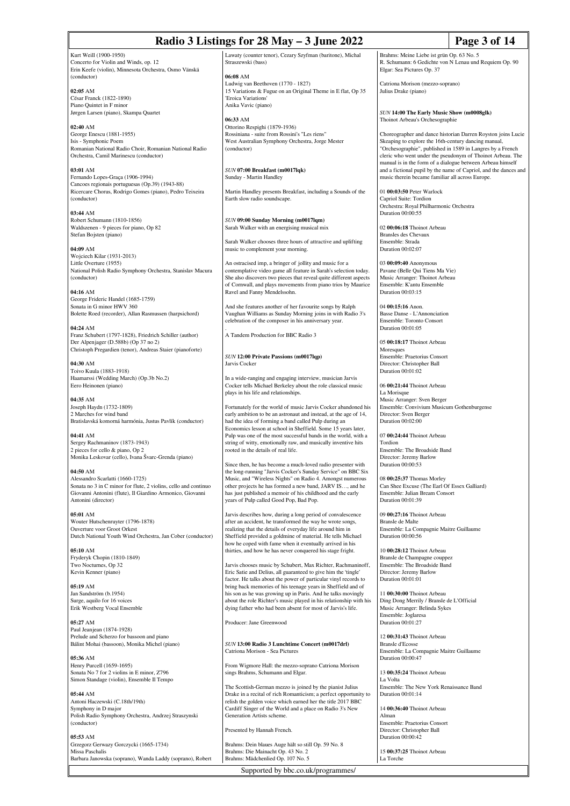## **Radio 3 Listings for 28 May – 3 June 2022** Page 3 of 14

Kurt Weill (1900-1950) Concerto for Violin and Winds, op. 12 Erin Keefe (violin), Minnesota Orchestra, Osmo Vänskä (conductor)

**02:05** AM César Franck (1822-1890) Piano Quintet in F minor Jørgen Larsen (piano), Skampa Quartet

**02:40** AM George Enescu (1881-1955) Isis - Symphonic Poem Romanian National Radio Choir, Romanian National Radio Orchestra, Camil Marinescu (conductor)

**03:01** AM Fernando Lopes-Graça (1906-1994) Cancoes regionais portuguesas (Op.39) (1943-88) Ricercare Chorus, Rodrigo Gomes (piano), Pedro Teixeira (conductor)

**03:44** AM Robert Schumann (1810-1856) Waldszenen - 9 pieces for piano, Op 82 Stefan Bojsten (piano)

**04:09** AM Wojciech Kilar (1931-2013) Little Overture (1955) National Polish Radio Symphony Orchestra, Stanislav Macura (conductor)

**04:16** AM George Frideric Handel (1685-1759) Sonata in G minor HWV 360 Bolette Roed (recorder), Allan Rasmussen (harpsichord)

**04:24** AM Franz Schubert (1797-1828), Friedrich Schiller (author) Der Alpenjager (D.588b) (Op 37 no 2) Christoph Pregardien (tenor), Andreas Staier (pianoforte)

**04:30** AM Toivo Kuula (1883-1918) Haamarssi (Wedding March) (Op.3b No.2) Eero Heinonen (piano)

**04:35** AM Joseph Haydn (1732-1809) 2 Marches for wind band Bratislavská komorná harmónia, Justus Pavlík (conductor)

**04:41** AM Sergey Rachmaninov (1873-1943) 2 pieces for cello & piano, Op 2 Monika Leskovar (cello), Ivana Švarc-Grenda (piano)

**04:50** AM Alessandro Scarlatti (1660-1725) Sonata no 3 in C minor for flute, 2 violins, cello and continuo Giovanni Antonini (flute), Il Giardino Armonico, Giovanni Antonini (director)

**05:01** AM Wouter Hutschenruyter (1796-1878) Ouverture voor Groot Orkest Dutch National Youth Wind Orchestra, Jan Cober (conductor)

**05:10** AM Fryderyk Chopin (1810-1849) Two Nocturnes, Op 32 Kevin Kenner (piano)

**05:19** AM Jan Sandström (b.1954) Surge, aquilo for 16 voices Erik Westberg Vocal Ensemble

**05:27** AM Paul Jeanjean (1874-1928) Prelude and Scherzo for bassoon and piano Bálint Mohai (bassoon), Monika Michel (piano)

**05:36** AM Henry Purcell (1659-1695) Sonata No 7 for 2 violins in E minor, Z796 Simon Standage (violin), Ensemble II Tempo

**05:44** AM Antoni Haczewski (C.18th/19th) Symphony in D major Polish Radio Symphony Orchestra, Andrzej Straszynski (conductor)

**05:53** AM Grzegorz Gerwazy Gorczycki (1665-1734) Missa Paschalis Barbara Janowska (soprano), Wanda Laddy (soprano), Robert Lawaty (counter tenor), Cezary Szyfman (baritone), Michal Straszewski (bass)

**06:08** AM Ludwig van Beethoven (1770 - 1827) 15 Variations & Fugue on an Original Theme in E flat, Op 35 'Eroica Variations' Anika Vavic (piano)

**06:33** AM Ottorino Respighi (1879-1936) Rossiniana - suite from Rossini's "Les riens" West Australian Symphony Orchestra, Jorge Mester (conductor)

*SUN* **07:00 Breakfast (m0017lqk)** Sunday - Martin Handley

Martin Handley presents Breakfast, including a Sounds of the Earth slow radio soundscape.

*SUN* **09:00 Sunday Morning (m0017lqm)** Sarah Walker with an energising musical mix

Sarah Walker chooses three hours of attractive and uplifting music to complement your morning.

An ostracised imp, a bringer of jollity and music for a contemplative video game all feature in Sarah's selection today. She also discovers two pieces that reveal quite different aspects of Cornwall, and plays movements from piano trios by Maurice Ravel and Fanny Mendelssohn.

And she features another of her favourite songs by Ralph Vaughan Williams as Sunday Morning joins in with Radio 3's celebration of the composer in his anniversary year.

A Tandem Production for BBC Radio 3

*SUN* **12:00 Private Passions (m0017lqp)** Jarvis Cocker

In a wide-ranging and engaging interview, musician Jarvis Cocker tells Michael Berkeley about the role classical music plays in his life and relationships.

Fortunately for the world of music Jarvis Cocker abandoned his early ambition to be an astronaut and instead, at the age of 14, had the idea of forming a band called Pulp during an Economics lesson at school in Sheffield. Some 15 years later, Pulp was one of the most successful bands in the world, with a string of witty, emotionally raw, and musically inventive hits rooted in the details of real life.

Since then, he has become a much-loved radio presenter with the long-running "Jarvis Cocker's Sunday Service" on BBC Six Music, and "Wireless Nights" on Radio 4. Amongst numerous other projects he has formed a new band, JARV IS…, and he has just published a memoir of his childhood and the early years of Pulp called Good Pop, Bad Pop.

Jarvis describes how, during a long period of convalescence after an accident, he transformed the way he wrote songs, realizing that the details of everyday life around him in Sheffield provided a goldmine of material. He tells Michael how he coped with fame when it eventually arrived in his thirties, and how he has never conquered his stage fright.

Jarvis chooses music by Schubert, Max Richter, Rachmaninoff, Eric Satie and Delius, all guaranteed to give him the 'tingle' factor. He talks about the power of particular vinyl records to bring back memories of his teenage years in Sheffield and of his son as he was growing up in Paris. And he talks movingly about the role Richter's music played in his relationship with his dying father who had been absent for most of Jarvis's life.

Producer: Jane Greenwood

*SUN* **13:00 Radio 3 Lunchtime Concert (m0017drl)** Catriona Morison - Sea Pictures

From Wigmore Hall: the mezzo-soprano Catriona Morison sings Brahms, Schumann and Elgar.

The Scottish-German mezzo is joined by the pianist Julius Drake in a recital of rich Romanticism; a perfect opportunity to relish the golden voice which earned her the title 2017 BBC Cardiff Singer of the World and a place on Radio 3's New Generation Artists scheme.

Presented by Hannah French.

Brahms: Dein blaues Auge hält so still Op. 59 No. 8 Brahms: Die Mainacht Op. 43 No. 2 Brahms: Mädchenlied Op. 107 No. 5

Supported by bbc.co.uk/programmes/

Brahms: Meine Liebe ist grün Op. 63 No. 5 R. Schumann: 6 Gedichte von N Lenau und Requiem Op. 90 Elgar: Sea Pictures Op. 37

Catriona Morison (mezzo-soprano) Julius Drake (piano)

*SUN* **14:00 The Early Music Show (m0008glk)** Thoinot Arbeau's Orchesographie

Choreographer and dance historian Darren Royston joins Lucie Skeaping to explore the 16th-century dancing manual, "Orchesographie", published in 1589 in Langres by a French cleric who went under the pseudonym of Thoinot Arbeau. The manual is in the form of a dialogue between Arbeau himself and a fictional pupil by the name of Capriol, and the dances and music therein became familiar all across Europe.

01 **00:03:50** Peter Warlock Capriol Suite: Tordion Orchestra: Royal Philharmonic Orchestra Duration 00:00:55

02 **00:06:18** Thoinot Arbeau Bransles des Chevaux Ensemble: Strada Duration 00:02:07

03 **00:09:40** Anonymous Pavane (Belle Qui Tiens Ma Vie) Music Arranger: Thoinot Arbeau Ensemble: K'antu Ensemble Duration 00:03:15

04 **00:15:16** Anon. Basse Danse - L'Annonciation Ensemble: Toronto Consort Duration 00:01:05

05 **00:18:17** Thoinot Arbeau Moresques Ensemble: Praetorius Consort Director: Christopher Ball Duration 00:01:02

06 **00:21:44** Thoinot Arbeau La Morisque Music Arranger: Sven Berger Ensemble: Convivium Musicum Gothenburgense Director: Sven Berger Duration 00:02:00

07 **00:24:44** Thoinot Arbeau Tordion

Ensemble: The Broadside Band Director: Jeremy Barlow Duration 00:00:53

08 **00:25:37** Thomas Morley Can Shee Excuse (The Earl Of Essex Galliard) Ensemble: Julian Bream Consort Duration 00:01:39

09 **00:27:16** Thoinot Arbeau Bransle de Malte Ensemble: La Compagnie Maitre Guillaume Duration 00:00:56

10 **00:28:12** Thoinot Arbeau Bransle de Champagne couppez Ensemble: The Broadside Band Director: Jeremy Barlow Duration 00:01:01

11 **00:30:00** Thoinot Arbeau Ding Dong Merrily / Bransle de L'Official Music Arranger: Belinda Sykes Ensemble: Joglaresa Duration 00:01:27

12 **00:31:43** Thoinot Arbeau Bransle d'Ecosse Ensemble: La Compagnie Maitre Guillaume Duration 00:00:47

13 **00:35:24** Thoinot Arbeau La Volta Ensemble: The New York Renaissance Band Duration 00:01:14

14 **00:36:40** Thoinot Arbeau Alman Ensemble: Praetorius Consort Director: Christopher Ball

Duration 00:00:42

15 **00:37:25** Thoinot Arbeau La Torche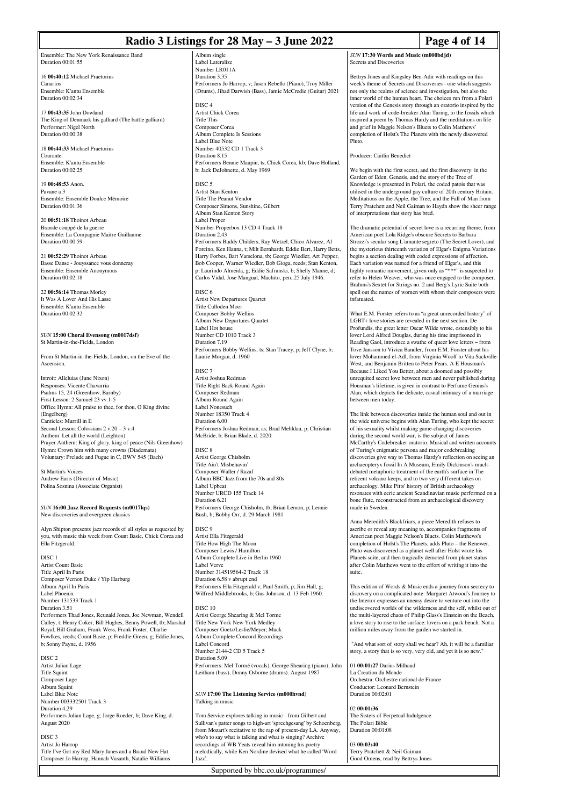# **Radio 3 Listings for 28 May – 3 June 2022** Page 4 of 14

Ensemble: The New York Renaissance Band Duration 00:01:55

16 **00:40:12** Michael Praetorius Canarios Ensemble: K'antu Ensemble Duration 00:02:34

17 **00:43:35** John Dowland The King of Denmark his galliard (The battle galliard) Performer: Nigel North Duration 00:00:38

18 **00:44:33** Michael Praetorius Courante Ensemble: K'antu Ensemble Duration 00:02:25

19 **00:48:53** Anon. Pavane a 3 Ensemble: Ensemble Doulce Mémoire Duration 00:01:36

20 **00:51:18** Thoinot Arbeau Bransle couppé de la guerre Ensemble: La Compagnie Maitre Guillaume Duration 00:00:59

21 **00:52:29** Thoinot Arbeau Basse Danse - Jouyssance vous donneray Ensemble: Ensemble Anonymous Duration 00:02:18

22 **00:56:14** Thomas Morley It Was A Lover And His Lasse Ensemble: K'antu Ensemble Duration 00:02:32

*SUN* **15:00 Choral Evensong (m0017dsf)** St Martin-in-the-Fields, London

From St Martin-in-the-Fields, London, on the Eve of the Ascension.

Introit: Alleluias (June Nixon) Responses: Vicente Chavarría Psalms 15, 24 (Greenhow, Barnby) First Lesson: 2 Samuel 23 vv.1-5 Office Hymn: All praise to thee, for thou, O King divine (Engelberg) Canticles: Murrill in E Second Lesson: Colossians 2 v.20 – 3 v.4 Anthem: Let all the world (Leighton) Prayer Anthem: King of glory, king of peace (Nils Greenhow) Hymn: Crown him with many crowns (Diademata) Voluntary: Prelude and Fugue in C, BWV 545 (Bach)

St Martin's Voices Andrew Earis (Director of Music) Polina Sosnina (Associate Organist)

*SUN* **16:00 Jazz Record Requests (m0017lqs)** New discoveries and evergreen classics

Alyn Shipton presents jazz records of all styles as requested by you, with music this week from Count Basie, Chick Corea and Ella Fitzgerald.

DISC 1 Artist Count Basie Title April In Paris Composer Vernon Duke / Yip Harburg Album April In Paris Label Phoenix Number 131533 Track 1 Duration 3.51 Performers Thad Jones, Reunald Jones, Joe Newman, Wendell Culley, t; Henry Coker, Bill Hughes, Benny Powell, tb; Marshal Royal, Bill Graham, Frank Wess, Frank Foster, Charlie Fowlkes, reeds; Count Basie, p; Freddie Green, g; Eddie Jones, b; Sonny Payne, d. 1956

DISC<sub>2</sub> Artist Julian Lage **Title Squint** Composer Lage Album Squint Label Blue Note Number 003332501 Track 3 Duration 4,29 Performers Julian Lage, g; Jorge Roeder, b; Dave King, d. August 2020

DISC 3 Artist Jo Harrop Title I've Got my Red Mary Janes and a Brand New Hat Composer Jo Harrop, Hannah Vasanth, Natalie Williams

Album single Label Lateralize Number LR011A Duration 3.35 Performers Jo Harrop, v; Jason Rebello (Piano), Troy Miller (Drums), Jihad Darwish (Bass), Jamie McCredie (Guitar) 2021 DISC 4 Artist Chick Corea Title This Composer Corea Album Complete Is Sessions Label Blue Note Number 40532 CD 1 Track 3 Duration 8.15 Performers Bennie Maupin, ts; Chick Corea, kb; Dave Holland, b; Jack DeJohnette, d. May 1969 DISC 5 Artist Stan Kenton Title The Peanut Vendor Composer Simons, Sunshine, Gilbert Album Stan Kenton Story Label Proper Number Properbox 13 CD 4 Track 18 Duration 2.43 Performers Buddy Childers, Ray Wetzel, Chico Alvarez, Al Porcino, Ken Hanna, t; Milt Bernhardt, Eddie Bert, Harry Betts, Harry Forbes, Bart Varselona, tb; George Wiedler, Art Pepper, Bob Cooper, Warner Wiedler, Bob Gioga, reeds; Stan Kenton, p; Laurindo Almeida, g; Eddie Safranski, b; Shelly Manne, d; Carlos Vidal, Jose Mangual, Machito, perc.25 July 1946. DISC 6 Artist New Departures Quartet Title Culloden Moor Composer Bobby Wellins Album New Departures Quartet Label Hot house Number CD 1010 Track 3 Duration 7.19 Performers Bobby Wellins, ts; Stan Tracey, p; Jeff Clyne, b; Laurie Morgan, d. 1960 DISC<sub>7</sub> Artist Joshua Redman Title Right Back Round Again Composer Redman Album Round Again Label Nonesuch Number 18350 Track 4 Duration 6.00 Performers Joshua Redman, as; Brad Mehldau, p; Christian McBride, b; Brian Blade, d. 2020. DISC 8 Artist George Chisholm Title Ain't Misbehavin' Composer Waller / Razaf Album BBC Jazz from the 70s and 80s Label Upbeat Number URCD 155 Track 14 Duration 6.21 Performers George Chisholm, tb; Brian Lemon, p; Lennie Bush, b; Bobby Orr, d. 29 March 1981 DISC 9 Artist Ella Fitzgerald Title How High The Moon Composer Lewis / Hamilton Album Complete Live in Berlin 1960 Label Verve Number 314519564-2 Track 18 Duration 6.58 v abrupt end Performers Ella Fitzgerald v; Paul Smith, p; Jim Hall, g; Wilfred Middlebrooks, b; Gus Johnson, d. 13 Feb 1960. DISC 10 Artist George Shearing & Mel Torme Title New York New York Medley Composer Goetz/Leslie/Meyer; Mack Album Complete Concord Recordings Label Concord Number 2144-2 CD 5 Track 5 Duration 5.09 Performers: Mel Tormé (vocals), George Shearing (piano), John Leitham (bass), Donny Osborne (drums). August 1987 *SUN* **17:00 The Listening Service (m000hvnd)** Talking in music Tom Service explores talking in music - from Gilbert and Sullivan's patter songs to high-art 'sprechgesang' by Schoenberg,

who's to say what is talking and what is singing? Archive recordings of WB Yeats reveal him intoning his poetry melodically, while Ken Nordine devised what he called 'Word Jazz'.

from Mozart's recitative to the rap of present-day LA. Anyway,

Supported by bbc.co.uk/programmes/

*SUN* **17:30 Words and Music (m000bdjd)** Secrets and Discoveries

Bettrys Jones and Kingsley Ben-Adir with readings on this week's theme of Secrets and Discoveries - one which suggests not only the realms of science and investigation, but also the inner world of the human heart. The choices run from a Polari version of the Genesis story through an oratorio inspired by the life and work of code-breaker Alan Turing, to the fossils w inspired a poem by Thomas Hardy and the meditations on life and grief in Maggie Nelson's Bluets to Colin Matthews' completion of Holst's The Planets with the newly discovered Pluto.

Producer: Caitlin Benedict

We begin with the first secret, and the first discovery: in the Garden of Eden. Genesis, and the story of the Tree of Knowledge is presented in Polari, the coded patois that was utilised in the underground gay culture of 20th century Britain. Meditations on the Apple, the Tree, and the Fall of Man from Terry Pratchett and Neil Gaiman to Haydn show the sheer range of interpretations that story has bred.

The dramatic potential of secret love is a recurring theme, from American poet Lola Ridge's obscure Secrets to Barbara Strozzi's secular song L'amante segreto (The Secret Lover), and the mysterious thirteenth variation of Elgar's Enigma Variations begins a section dealing with coded expressions of affection. Each variation was named for a friend of Elgar's, and this highly romantic movement, given only as "\*\*\*" is suspected to refer to Helen Weaver, who was once engaged to the composer. Brahms's Sextet for Strings no. 2 and Berg's Lyric Suite both spell out the names of women with whom their composers were infatuated.

What E.M. Forster refers to as "a great unrecorded history" of LGBT+ love stories are revealed in the next section. De Profundis, the great letter Oscar Wilde wrote, ostensibly to his lover Lord Alfred Douglas, during his time imprisoned in Reading Gaol, introduce a swathe of queer love letters – from Tove Jansson to Vivica Bandler, from E.M. Forster about his lover Mohammed el-Adl, from Virginia Woolf to Vita Sackville-West, and Benjamin Britten to Peter Pears. A E Housman's Because I Liked You Better, about a doomed and possibly unrequited secret love between men and never published during Housman's lifetime, is given in contrast to Perfume Genius's Alan, which depicts the delicate, casual intimacy of a marriage between men today.

The link between discoveries inside the human soul and out in the wide universe begins with Alan Turing, who kept the secret of his sexuality whilst making game-changing discoveries during the second world war, is the subject of James McCarthy's Codebreaker oratorio. Musical and written account of Turing's enigmatic persona and major codebreaking discoveries give way to Thomas Hardy's reflection on seeing an archaeopteryx fossil In A Museum, Emily Dickinson's much debated metaphoric treatment of the earth's surface in The reticent volcano keeps, and to two very different takes on archaeology. Mike Pitts' history of British archaeology resonates with eerie ancient Scandinavian music performed on a bone flute, reconstructed from an archaeological discovery made in Sweden.

Anna Meredith's Blackfriars, a piece Meredith refuses to ascribe or reveal any meaning to, accompanies fragments of American poet Maggie Nelson's Bluets. Colin Matthews's completion of Holst's The Planets, adds Pluto – the Renewer. Pluto was discovered as a planet well after Holst wrote his Planets suite, and then tragically demoted from planet status after Colin Matthews went to the effort of writing it into the suite.

This edition of Words & Music ends a journey from secrecy to discovery on a complicated note: Margaret Atwood's Journey to the Interior expresses an uneasy desire to venture out into the undiscovered worlds of the wilderness and the self, whilst out of the multi-layered chaos of Philip Glass's Einstein on the Beach, a love story to rise to the surface: lovers on a park bench. Not a million miles away from the garden we started in.

 "And what sort of story shall we hear? Ah, it will be a familiar story, a story that is so very, very old, and yet it is so new."

01 **00:01:27** Darius Milhaud La Creation du Monde Orchestra: Orchestre national de France Conductor: Leonard Bernstein Duration 00:02:01

02 **00:01:36** The Sisters of Perpetual Indulgence The Polari Bible Duration 00:01:08

03 **00:03:40** Terry Pratchett & Neil Gaiman Good Omens, read by Bettrys Jones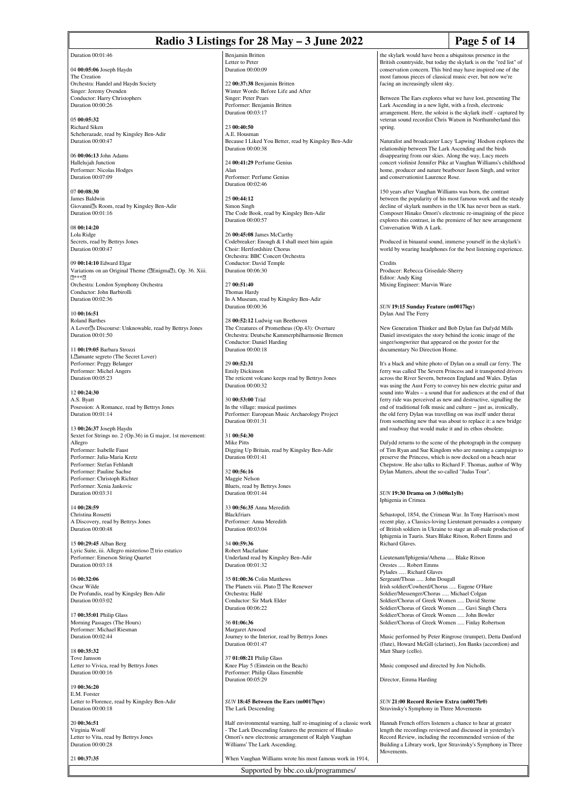# **Radio 3 Listings for 28 May – 3 June 2022** Page 5 of 14

Duration 00:01:46

04 **00:05:06** Joseph Haydn The Creation Orchestra: Handel and Haydn Society Singer: Jeremy Ovenden Conductor: Harry Christophers Duration 00:00:26

05 **00:05:32** Richard Siken Scheherazade, read by Kingsley Ben-Adir Duration 00:00:47

06 **00:06:13** John Adams Hallelujah Junction Performer: Nicolas Hodges Duration 00:07:09

07 **00:08:30** James Baldwin Giovanni<sup>n</sup>s Room, read by Kingsley Ben-Adir Duration 00:01:16

08 **00:14:20** Lola Ridge Secrets, read by Bettrys Jones Duration 00:00:47

09 **00:14:10** Edward Elgar Variations on an Original Theme (**Enigma**<sup>n</sup>, Op. 36. Xiii.  $P$ \*\*\* $P$ Orchestra: London Symphony Orchestra Conductor: John Barbirolli Duration 00:02:36

10 **00:16:51** Roland Barthes A Lover<sup>®</sup>s Discourse: Unknowable, read by Bettrys Jones Duration 00:01:50

11 **00:19:05** Barbara Strozzi L**M**amante segreto (The Secret Lover) Performer: Peggy Belanger Performer: Michel Angers Duration 00:05:23

12 **00:24:30** A.S. Byatt Posession: A Romance, read by Bettrys Jones Duration 00:01:14

13 **00:26:37** Joseph Haydn Sextet for Strings no. 2 (Op.36) in G major, 1st movement: Allegro Performer: Isabelle Faust Performer: Julia-Maria Kretz Performer: Stefan Fehlandt Performer: Pauline Sachse Performer: Christoph Richter Performer: Xenia Jankovic Duration 00:03:31

14 **00:28:59** Christina Rossetti A Discovery, read by Bettrys Jones Duration 00:00:48

15 **00:29:45** Alban Berg Lyric Suite, iii. Allegro misterioso <sup>7</sup> trio estatico Performer: Emerson String Quartet Duration 00:03:18

16 **00:32:06** Oscar Wilde De Profundis, read by Kingsley Ben-Adir Duration 00:03:02

17 **00:35:01** Philip Glass Morning Passages (The Hours) Performer: Michael Riesman Duration 00:02:44

18 **00:35:32** Tove Jansson Letter to Vivica, read by Bettrys Jones Duration 00:00:16

19 **00:36:20** E.M. Forster Letter to Florence, read by Kingsley Ben-Adir Duration 00:00:18

20 **00:36:51** Virginia Woolf Letter to Vita, read by Bettrys Jones Duration 00:00:28

21 **00:37:35**

Benjamin Britten Letter to Peter Duration 00:00:09

22 **00:37:38** Benjamin Britten Winter Words: Before Life and After Singer: Peter Pears Performer: Benjamin Britten Duration 00:03:17

23 **00:40:50** A.E. Housman Because I Liked You Better, read by Kingsley Ben-Adir Duration 00:00:38

24 **00:41:29** Perfume Genius Alan Performer: Perfume Genius Duration 00:02:46

25 **00:44:12** Simon Singh The Code Book, read by Kingsley Ben-Adir Duration 00:00:57

26 **00:45:08** James McCarthy Codebreaker: Enough & I shall meet him again Choir: Hertfordshire Chorus Orchestra: BBC Concert Orchestra Conductor: David Temple Duration 00:06:30

27 **00:51:40** Thomas Hardy In A Museum, read by Kingsley Ben-Adir Duration 00:00:36

28 **00:52:12** Ludwig van Beethoven The Creatures of Prometheus (Op.43): Overture Orchestra: Deutsche Kammerphilharmonie Bremen Conductor: Daniel Harding Duration 00:00:18

29 **00:52:31** Emily Dickinson The reticent volcano keeps read by Bettrys Jones Duration 00:00:32

30 **00:53:00** Träd In the village: musical pastimes Performer: European Music Archaeology Project Duration 00:01:31

31 **00:54:30** Mike Pitts Digging Up Britain, read by Kingsley Ben-Adir Duration 00:01:41

32 **00:56:16** Maggie Nelson Bluets, read by Bettrys Jones Duration 00:01:44

33 **00:56:35** Anna Meredith Blackfriars Performer: Anna Meredith Duration 00:03:04

34 **00:59:36** Robert Macfarlane Underland read by Kingsley Ben-Adir Duration 00:01:32

35 **01:00:36** Colin Matthews The Planets viii. Pluto <sup>[7]</sup> The Renewer Orchestra: Hallé Conductor: Sir Mark Elder Duration 00:06:22

36 **01:06:36** Margaret Atwood Journey to the Interior, read by Bettrys Jones Duration 00:01:47

37 **01:08:21** Philip Glass Knee Play 5 (Einstein on the Beach) Performer: Philip Glass Ensemble Duration 00:05:29

*SUN* **18:45 Between the Ears (m0017lqw)** The Lark Descending

Half environmental warning, half re-imagining of a classic work - The Lark Descending features the premiere of Hinako Omori's new electronic arrangement of Ralph Vaughan Williams' The Lark Ascending.

When Vaughan Williams wrote his most famous work in 1914,

Supported by bbc.co.uk/programmes/

### the skylark would have been a ubiquitous presence in the British countryside, but today the skylark is on the "red list" of conservation concern. This bird may have inspired one of the most famous pieces of classical music ever, but now we're facing an increasingly silent sky.

Between The Ears explores what we have lost, presenting The Lark Ascending in a new light, with a fresh, electronic arrangement. Here, the soloist is the skylark itself - captured by veteran sound recordist Chris Watson in Northumberland this spring.

Naturalist and broadcaster Lucy 'Lapwing' Hodson explores the relationship between The Lark Ascending and the birds disappearing from our skies. Along the way, Lucy meets concert violinist Jennifer Pike at Vaughan Williams's childhood home, producer and nature beatboxer Jason Singh, and writer and conservationist Laurence Rose

150 years after Vaughan Williams was born, the contrast between the popularity of his most famous work and the steady decline of skylark numbers in the UK has never been as stark. Composer Hinako Omori's electronic re-imagining of the piece explores this contrast, in the premiere of her new arrangement Conversation With A Lark.

Produced in binaural sound, immerse yourself in the skylark's world by wearing headphones for the best listening experience.

Credits Producer: Rebecca Grisedale-Sherry Editor: Andy King Mixing Engineer: Marvin Ware

*SUN* **19:15 Sunday Feature (m0017lqy)** Dylan And The Ferry

New Generation Thinker and Bob Dylan fan Dafydd Mills Daniel investigates the story behind the iconic image of the singer/songwriter that appeared on the poster for the documentary No Direction Home.

It's a black and white photo of Dylan on a small car ferry. The ferry was called The Severn Princess and it transported drivers across the River Severn, between England and Wales. Dylan was using the Aust Ferry to convey his new electric guitar and sound into Wales – a sound that for audiences at the end of that ferry ride was perceived as new and destructive, signalling the end of traditional folk music and culture – just as, ironically, the old ferry Dylan was travelling on was itself under threat from something new that was about to replace it: a new bridge and roadway that would make it and its ethos obsolete.

Dafydd returns to the scene of the photograph in the company of Tim Ryan and Sue Kingdom who are running a campaign to preserve the Princess, which is now docked on a beach near Chepstow. He also talks to Richard F. Thomas, author of Why Dylan Matters, about the so-called "Judas Tour".

*SUN* **19:30 Drama on 3 (b08n1ylb)** Iphigenia in Crimea

Sebastopol, 1854, the Crimean War. In Tony Harrison's most recent play, a Classics-loving Lieutenant persuades a company of British soldiers in Ukraine to stage an all-male production of Iphigenia in Tauris. Stars Blake Ritson, Robert Emms and Richard Glaves.

Lieutenant/Iphigenia/Athena ..... Blake Ritson Orestes ..... Robert Emms Pylades ..... Richard Glaves Sergeant/Thoas ..... John Dougall Irish soldier/Cowherd/Chorus ..... Eugene O'Hare Soldier/Messenger/Chorus ..... Michael Colgan Soldier/Chorus of Greek Women ..... David Sterne Soldier/Chorus of Greek Women ..... Gavi Singh Chera Soldier/Chorus of Greek Women ..... John Bowler Soldier/Chorus of Greek Women ..... Finlay Robertson

Music performed by Peter Ringrose (trumpet), Detta Danford (flute), Howard McGill (clarinet), Jon Banks (accordion) and Matt Sharp (cello).

Music composed and directed by Jon Nicholls.

Director, Emma Harding

*SUN* **21:00 Record Review Extra (m0017lr0)** Stravinsky's Symphony in Three Movements

Hannah French offers listeners a chance to hear at greater length the recordings reviewed and discussed in yesterday's Record Review, including the recommended version of the Building a Library work, Igor Stravinsky's Symphony in Three Movements.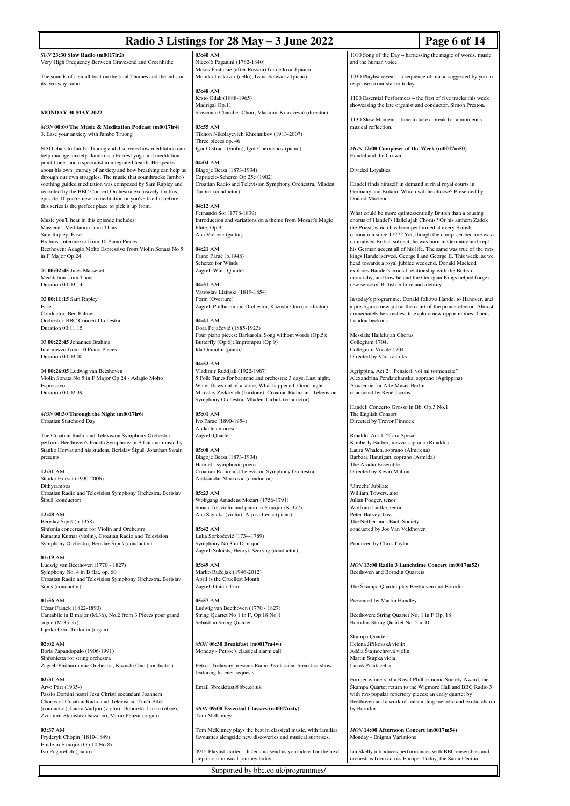| Page 6 of 14<br>Radio 3 Listings for 28 May – 3 June 2022                                                                                                                                                                                                                                                           |                                                                                                                                                                                                                                          |                                                                                                                                                                                                                                                                 |                                                                                                                                                                                                  |  |
|---------------------------------------------------------------------------------------------------------------------------------------------------------------------------------------------------------------------------------------------------------------------------------------------------------------------|------------------------------------------------------------------------------------------------------------------------------------------------------------------------------------------------------------------------------------------|-----------------------------------------------------------------------------------------------------------------------------------------------------------------------------------------------------------------------------------------------------------------|--------------------------------------------------------------------------------------------------------------------------------------------------------------------------------------------------|--|
| SUN 23:30 Slow Radio (m0017lr2)<br>Very High Frequency Between Gravesend and Greenhithe                                                                                                                                                                                                                             | 03:40 AM<br>Niccolò Paganini (1782-1840)<br>Moses Fantaisie (after Rossini) for cello and piano                                                                                                                                          | 1010 Song of the Day - harnessing the magic of words, music<br>and the human voice.                                                                                                                                                                             |                                                                                                                                                                                                  |  |
| The sounds of a small boat on the tidal Thames and the calls on<br>its two-way radio.                                                                                                                                                                                                                               | Monika Leskovar (cello), Ivana Schwartz (piano)<br>03:48 AM                                                                                                                                                                              | 1030 Playlist reveal - a sequence of music suggested by you in<br>response to our starter today.                                                                                                                                                                |                                                                                                                                                                                                  |  |
| <b>MONDAY 30 MAY 2022</b>                                                                                                                                                                                                                                                                                           | Krsto Odak (1888-1965)<br>Madrigal Op.11<br>Slovenian Chamber Choir, Vladimir Kranjčević (director)                                                                                                                                      | 1100 Essential Performers - the first of five tracks this week<br>showcasing the late organist and conductor, Simon Preston.                                                                                                                                    |                                                                                                                                                                                                  |  |
| MON 00:00 The Music & Meditation Podcast (m0017lr4)<br>3. Ease your anxiety with Jambo Truong                                                                                                                                                                                                                       | 03:55 AM<br>Tikhon Nikolayevich Khrennikov (1913-2007)                                                                                                                                                                                   | 1130 Slow Moment – time to take a break for a moment's<br>musical reflection.                                                                                                                                                                                   |                                                                                                                                                                                                  |  |
| NAO chats to Jambo Truong and discovers how meditation can                                                                                                                                                                                                                                                          | Three pieces op. 46<br>Igor Oistrach (violin), Igor Chernishov (piano)                                                                                                                                                                   | MON 12:00 Composer of the Week (m0017m50)                                                                                                                                                                                                                       |                                                                                                                                                                                                  |  |
| help manage anxiety. Jambo is a Forrest yoga and meditation<br>practitioner and a specialist in integrated health. He speaks<br>about his own journey of anxiety and how breathing can help us                                                                                                                      | 04:04 AM<br>Blagoje Bersa (1873-1934)                                                                                                                                                                                                    | Handel and the Crown<br>Divided Loyalties                                                                                                                                                                                                                       |                                                                                                                                                                                                  |  |
| through our own struggles. The music that soundtracks Jambo's<br>soothing guided meditation was composed by Sam Rapley and<br>recorded by the BBC Concert Orchestra exclusively for this<br>episode. If you're new to meditation or you've tried it before,<br>this series is the perfect place to pick it up from. | Capriccio-Scherzo Op 25c (1902)<br>Croatian Radio and Television Symphony Orchestra, Mladen<br>Tarbuk (conductor)<br>04:12 AM                                                                                                            | Handel finds himself in demand at rival royal courts in<br>Germany and Britain. Which will he choose? Presented by<br>Donald Macleod.                                                                                                                           |                                                                                                                                                                                                  |  |
| Music you'll hear in this episode includes:<br>Massenet: Meditation from Thaïs<br>Sam Rapley: Ease                                                                                                                                                                                                                  | Fernando Sor (1778-1839)<br>Introduction and variations on a theme from Mozart's Magic<br>Flute, Op 9<br>Ana Vidovic (guitar)                                                                                                            | What could be more quintessentially British than a rousing<br>chorus of Handel's Hallelujah Chorus? Or his anthem Zadok<br>the Priest, which has been performed at every British<br>coronation since 1727? Yet, though the composer became was a                |                                                                                                                                                                                                  |  |
| Brahms: Intermezzo from 10 Piano Pieces<br>Beethoven: Adagio Molto Espressivo from Violin Sonata No 5<br>in F Major Op 24                                                                                                                                                                                           | 04:21 AM<br>Frano Parać (b.1948)<br>Scherzo for Winds                                                                                                                                                                                    | head towards a royal jubilee weekend, Donald Macleod                                                                                                                                                                                                            | naturalised British subject, he was born in Germany and kept<br>his German accent all of his life. The same was true of the two<br>kings Handel served, George I and George II. This week, as we |  |
| 01 00:02:45 Jules Massenet<br>Meditation from Thaïs<br>Duration 00:03:14                                                                                                                                                                                                                                            | Zagreb Wind Quintet<br>04:31 AM<br>Vatroslav Lisinski (1819-1854)                                                                                                                                                                        | explores Handel's crucial relationship with the British<br>monarchy, and how he and the Georgian Kings helped forge a<br>new sense of British culture and identity.                                                                                             |                                                                                                                                                                                                  |  |
| 02 00:11:15 Sam Rapley<br>Ease<br>Conductor: Ben Palmer<br>Orchestra: BBC Concert Orchestra<br>Duration 00:11:15                                                                                                                                                                                                    | Porin (Overture)<br>Zagreb Philharmonic Orchestra, Kazushi Ono (conductor)<br>04:41 AM<br>Dora Pejačević (1885-1923)                                                                                                                     | In today's programme, Donald follows Handel to Hanover, and<br>a prestigious new job at the court of the prince-elector. Almost<br>immediately he's restless to explore new opportunities. Then,<br>London beckons.                                             |                                                                                                                                                                                                  |  |
| 03 00:22:45 Johannes Brahms<br>Intermezzo from 10 Piano Pieces<br>Duration 00:03:00                                                                                                                                                                                                                                 | Four piano pieces: Barkarola; Song without words (Op.5);<br>Butterfly (Op.6); Impromptu (Op.9)<br>Ida Gamulin (piano)                                                                                                                    | Messiah: Hallelujah Chorus<br>Collegium 1704,<br>Collegium Vocale 1704<br>Directed by Václav Luks                                                                                                                                                               |                                                                                                                                                                                                  |  |
| 04 00:26:05 Ludwig van Beethoven<br>Violin Sonata No 5 in F Major Op 24 - Adagio Molto<br>Espressivo<br>Duration 00:02:39                                                                                                                                                                                           | 04:52 AM<br>Vladimir Ruždjak (1922-1987)<br>5 Folk Tunes for baritone and orchestra: 3 days, Last night,<br>Water flows out of a stone, What happened, Good night<br>Miroslav Zivkovich (baritone), Croatian Radio and Television        | Agrippina, Act 2: "Pensieri, voi mi tormentate"<br>Alexandrina Pendatchanska, soprano (Agrippina)<br>Akademie für Alte Musik Berlin<br>conducted by René Jacobs                                                                                                 |                                                                                                                                                                                                  |  |
| MON 00:30 Through the Night (m0017lr6)<br>Croatian Statehood Day                                                                                                                                                                                                                                                    | Symphony Orchestra, Mladen Tarbuk (conductor)<br>05:01 AM<br>Ivo Parac (1890-1954)                                                                                                                                                       | Handel: Concerto Grosso in Bb, Op.3 No.1<br>The English Consort<br>Directed by Trevor Pinnock                                                                                                                                                                   |                                                                                                                                                                                                  |  |
| The Croatian Radio and Television Symphony Orchestra<br>perform Beethoven's Fourth Symphony in B flat and music by<br>Stanko Horvat and his student, Berislav Šipuš. Jonathan Swain<br>presents                                                                                                                     | Andante amoroso<br>Zagreb Quartet<br>05:08 AM<br>Blagoje Bersa (1873-1934)                                                                                                                                                               | Rinaldo, Act 1: "Cara Sposa"<br>Kimberly Barber, mezzo soprano (Rinaldo)<br>Laura Whalen, soprano (Almirena)<br>Barbara Hannigan, soprano (Armida)                                                                                                              |                                                                                                                                                                                                  |  |
| 12:31 AM<br>Stanko Horvat (1930-2006)<br>Dithyrambos                                                                                                                                                                                                                                                                | Hamlet - symphonic poem<br>Croatian Radio and Television Symphony Orchestra,<br>Aleksandar Marković (conductor)                                                                                                                          | The Aradia Ensemble<br>Directed by Kevin Mallon<br>'Utrecht' Jubilate                                                                                                                                                                                           |                                                                                                                                                                                                  |  |
| Croatian Radio and Television Symphony Orchestra, Berislav<br>Šipuš (conductor)<br>12:48 AM<br>Berislav Šipuš (b.1958)                                                                                                                                                                                              | 05:23 AM<br>Wolfgang Amadeus Mozart (1756-1791)<br>Sonata for violin and piano in F major (K.377)<br>Ana Savicka (violin), Aljosa Lecic (piano)                                                                                          | William Towers, alto<br>Julian Podger, tenor<br>Wolfram Lattke, tenor<br>Peter Harvey, bass                                                                                                                                                                     |                                                                                                                                                                                                  |  |
| Sinfonia concertante for Violin and Orchestra<br>Katarina Kutnar (violin), Croatian Radio and Television<br>Symphony Orchestra, Berislav Šipuš (conductor)                                                                                                                                                          | 05:42 AM<br>Luka Sorkočević (1734-1789)<br>Symphony No.3 in D major<br>Zagreb Soloists, Henryk Szeryng (conductor)                                                                                                                       | The Netherlands Bach Society<br>conducted by Jos Van Veldhoven<br>Produced by Chris Taylor                                                                                                                                                                      |                                                                                                                                                                                                  |  |
| $01:19$ AM<br>Ludwig van Beethoven (1770 - 1827)<br>Symphony No. 4 in B flat, op. 60<br>Croatian Radio and Television Symphony Orchestra, Berislav<br>Šipuš (conductor)                                                                                                                                             | 05:49 AM<br>Marko Ruždjak (1946-2012)<br>April is the Cruellest Month<br>Zagreb Guitar Trio                                                                                                                                              | MON 13:00 Radio 3 Lunchtime Concert (m0017m52)<br>Beethoven and Borodin Quartets<br>The Škampa Quartet play Beethoven and Borodin.                                                                                                                              |                                                                                                                                                                                                  |  |
| 01:56 AM<br>César Franck (1822-1890)<br>Cantabile in B major (M.36), No.2 from 3 Pieces pour grand<br>orgue (M.35-37)                                                                                                                                                                                               | 05:57 AM<br>Ludwig van Beethoven (1770 - 1827)<br>String Quartet No 1 in F, Op 18 No 1<br>Sebastian String Quartet                                                                                                                       | Presented by Martin Handley.<br>Beethoven: String Quartet No. 1 in F Op. 18<br>Borodin: String Quartet No. 2 in D                                                                                                                                               |                                                                                                                                                                                                  |  |
| Ljerka Ocic-Turkulin (organ)<br>$02:02$ AM<br>Boris Papandopulo (1906-1991)<br>Sinfonietta for string orchestra                                                                                                                                                                                                     | MON 06:30 Breakfast (m0017m4w)<br>Monday - Petroc's classical alarm call                                                                                                                                                                 | Škampa Quartet:<br>Helena Jiříkovská violin<br>Adéla Štajnochrová violin<br>Martin Stupka viola                                                                                                                                                                 |                                                                                                                                                                                                  |  |
| Zagreb Philharmonic Orchestra, Kazushi Ono (conductor)<br>02:31 AM                                                                                                                                                                                                                                                  | Petroc Trelawny presents Radio 3's classical breakfast show,<br>featuring listener requests.                                                                                                                                             | Lukáš Polák cello                                                                                                                                                                                                                                               |                                                                                                                                                                                                  |  |
| Arvo Pärt (1935-)<br>Passio Domini nostri Jesu Christi secundam Joannem<br>Chorus of Croatian Radio and Television, Tonči Bilić<br>(conductor), Laura Vadjon (violin), Dubravka Lukin (oboe),<br>Zvonimir Stanislav (bassoon), Mario Penzar (organ)                                                                 | Email 3breakfast@bbc.co.uk<br>MON 09:00 Essential Classics (m0017m4y)<br>Tom McKinney                                                                                                                                                    | Former winners of a Royal Philharmonic Society Award, the<br>Škampa Quartet return to the Wigmore Hall and BBC Radio 3<br>with two popular repertory pieces: an early quartet by<br>Beethoven and a work of outstanding melodic and exotic charm<br>by Borodin. |                                                                                                                                                                                                  |  |
| 03:37 AM<br>Fryderyk Chopin (1810-1849)<br>Etude in F major (Op.10 No.8)<br>Ivo Pogorelich (piano)                                                                                                                                                                                                                  | Tom McKinney plays the best in classical music, with familiar<br>favourites alongside new discoveries and musical surprises.<br>0915 Playlist starter - listen and send us your ideas for the next<br>step in our musical journey today. | MON 14:00 Afternoon Concert (m0017m54)<br>Monday - Enigma Variations<br>Ian Skelly introduces performances with BBC ensembles and<br>orchestras from across Europe. Today, the Santa Cecilia                                                                    |                                                                                                                                                                                                  |  |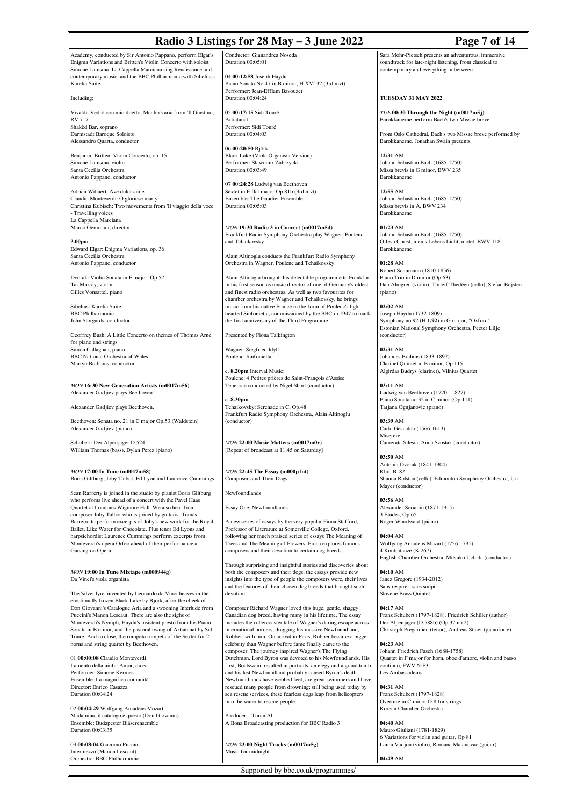| Radio 3 Listings for 28 May - 3 June 2022                                                                                                                                                                                                                                |                                                                                                                                                                                                                                                                   |                                                                                                                                                           | Page 7 of 14 |
|--------------------------------------------------------------------------------------------------------------------------------------------------------------------------------------------------------------------------------------------------------------------------|-------------------------------------------------------------------------------------------------------------------------------------------------------------------------------------------------------------------------------------------------------------------|-----------------------------------------------------------------------------------------------------------------------------------------------------------|--------------|
| Academy, conducted by Sir Antonio Pappano, perform Elgar's<br>Enigma Variations and Britten's Violin Concerto with soloist<br>Simone Lamsma. La Cappella Marciana sing Renaissance and<br>contemporary music, and the BBC Philharmonic with Sibelius's<br>Karelia Suite. | Conductor: Gianandrea Noseda<br>Duration 00:05:01<br>04 00:12:58 Joseph Haydn<br>Piano Sonata No 47 in B minor, H XVI 32 (3rd mvt)<br>Performer: Jean-Efflam Bavouzet                                                                                             | Sara Mohr-Pietsch presents an adventurous, immersive<br>soundtrack for late-night listening, from classical to<br>contemporary and everything in between. |              |
| Including:                                                                                                                                                                                                                                                               | Duration 00:04:24                                                                                                                                                                                                                                                 | TUESDAY 31 MAY 2022                                                                                                                                       |              |
| Vivaldi: Vedrò con mio diletto, Manlio's aria from 'Il Giustino,<br><b>RV 717</b><br>Shakèd Bar, soprano                                                                                                                                                                 | 05 00:17:15 Sidi Touré<br>Artiatanat<br>Performer: Sidi Touré                                                                                                                                                                                                     | TUE 00:30 Through the Night (m0017m5j)<br>Barokkanerne perform Bach's two Missae breve                                                                    |              |
| Darmstadt Baroque Soloists<br>Alessandro Quarta, conductor                                                                                                                                                                                                               | Duration 00:04:03                                                                                                                                                                                                                                                 | From Oslo Cathedral, Bach's two Missae breve performed by<br>Barokkanerne. Jonathan Swain presents.                                                       |              |
| Benjamin Britten: Violin Concerto, op. 15<br>Simone Lamsma, violin<br>Santa Cecilia Orchestra<br>Antonio Pappano, conductor                                                                                                                                              | 06 00:20:50 Björk<br>Black Lake (Viola Organista Version)<br>Performer: Sławomir Zubrzycki<br>Duration 00:03:49<br>07 00:24:28 Ludwig van Beethoven                                                                                                               | 12:31 AM<br>Johann Sebastian Bach (1685-1750)<br>Missa brevis in G minor, BWV 235<br>Barokkanerne                                                         |              |
| Adrian Willaert: Ave dulcissime<br>Claudio Monteverdi: O gloriose martyr<br>Christina Kubisch: Two movements from 'Il viaggio della voce'<br>- Travelling voices<br>La Cappella Marciana                                                                                 | Sextet in E flat major Op.81b (3rd mvt)<br>Ensemble: The Gaudier Ensemble<br>Duration 00:05:03                                                                                                                                                                    | 12:55 AM<br>Johann Sebastian Bach (1685-1750)<br>Missa brevis in A, BWV 234<br>Barokkanerne                                                               |              |
| Marco Gemmani, director<br>3.00pm<br>Edward Elgar: Enigma Variations, op. 36                                                                                                                                                                                             | MON 19:30 Radio 3 in Concert (m0017m5d)<br>Frankfurt Radio Symphony Orchestra play Wagner, Poulenc<br>and Tchaikovsky                                                                                                                                             | $01:23$ AM<br>Johann Sebastian Bach (1685-1750)<br>O Jesu Christ, meins Lebens Licht, motet, BWV 118<br>Barokkanerne                                      |              |
| Santa Cecilia Orchestra<br>Antonio Pappano, conductor<br>Dvorak: Violin Sonata in F major, Op 57                                                                                                                                                                         | Alain Altinoglu conducts the Frankfurt Radio Symphony<br>Orchestra in Wagner, Poulenc and Tchaikovsky.<br>Alain Altinoglu brought this delectable programme to Frankfurt                                                                                          | $01:28$ AM<br>Robert Schumann (1810-1856)                                                                                                                 |              |
| Tai Murray, violin<br>Gilles Vonsattel, piano                                                                                                                                                                                                                            | in his first season as music director of one of Germany's oldest<br>and finest radio orchestras. As well as two favourites for<br>chamber orchestra by Wagner and Tchaikovsky, he brings                                                                          | Piano Trio in D minor (Op.63)<br>Dan Almgren (violin), Torleif Thedéen (cello), Stefan Bojsten<br>(piano)                                                 |              |
| Sibelius: Karelia Suite<br><b>BBC</b> Philharmonic<br>John Storgards, conductor                                                                                                                                                                                          | music from his native France in the form of Poulenc's light-<br>hearted Sinfonietta, commissioned by the BBC in 1947 to mark<br>the first anniversary of the Third Programme.                                                                                     | $02:02$ AM<br>Joseph Haydn (1732-1809)<br>Symphony no.92 (H.1.92) in G major, "Oxford"<br>Estonian National Symphony Orchestra, Peeter Lilje              |              |
| Geoffrey Bush: A Little Concerto on themes of Thomas Arne<br>for piano and strings                                                                                                                                                                                       | Presented by Fiona Talkington                                                                                                                                                                                                                                     | (conductor)                                                                                                                                               |              |
| Simon Callaghan, piano<br><b>BBC</b> National Orchestra of Wales<br>Martyn Brabbins, conductor                                                                                                                                                                           | Wagner: Siegfried Idyll<br>Poulenc: Sinfonietta<br>c. 8.20pm Interval Music:                                                                                                                                                                                      | 02:31 AM<br>Johannes Brahms (1833-1897)<br>Clarinet Quintet in B minor, Op 115<br>Algirdas Budrys (clarinet), Vilnius Quartet                             |              |
| MON 16:30 New Generation Artists (m0017m56)<br>Alexander Gadjiev plays Beethoven                                                                                                                                                                                         | Poulenc: 4 Petites prières de Saint-François d'Assise<br>Tenebrae conducted by Nigel Short (conductor)<br>c. 8.30 <sub>pm</sub>                                                                                                                                   | 03:11 AM<br>Ludwig van Beethoven (1770 - 1827)                                                                                                            |              |
| Alexander Gadjiev plays Beethoven.                                                                                                                                                                                                                                       | Tchaikovsky: Serenade in C, Op.48<br>Frankfurt Radio Symphony Orchestra, Alain Altinoglu                                                                                                                                                                          | Piano Sonata no.32 in C minor (Op.111)<br>Tatjana Ognjanovic (piano)                                                                                      |              |
| Beethoven: Sonata no. 21 in C major Op.53 (Waldstein)<br>Alexander Gadjiev (piano)                                                                                                                                                                                       | (conductor)                                                                                                                                                                                                                                                       | 03:39 AM<br>Carlo Gesualdo (1566-1613)<br>Miserere                                                                                                        |              |
| Schubert: Der Alpenjager D.524<br>William Thomas (bass), Dylan Perez (piano)                                                                                                                                                                                             | MON 22:00 Music Matters (m0017m0v)<br>[Repeat of broadcast at 11:45 on Saturday]                                                                                                                                                                                  | Camerata Silesia, Anna Szostak (conductor)<br>03:50 AM                                                                                                    |              |
| MON 17:00 In Tune (m0017m58)<br>Boris Giltburg, Joby Talbot, Ed Lyon and Laurence Cummings                                                                                                                                                                               | MON 22:45 The Essay (m000p1nt)<br>Composers and Their Dogs                                                                                                                                                                                                        | Antonin Dvorak (1841-1904)<br>Klid, B182<br>Shauna Rolston (cello), Edmonton Symphony Orchestra, Uri<br>Mayer (conductor)                                 |              |
| Sean Rafferty is joined in the studio by pianist Boris Giltburg<br>who perfoms live ahead of a concert with the Pavel Haas<br>Quartet at London's Wigmore Hall. We also hear from                                                                                        | Newfoundlands<br>Essay One: Newfoundlands                                                                                                                                                                                                                         | 03:56 AM<br>Alexander Scriabin (1871-1915)                                                                                                                |              |
| composer Joby Talbot who is joined by guitarist Tomás<br>Barreiro to perform excerpts of Joby's new work for the Royal<br>Ballet, Like Water for Chocolate. Plus tenor Ed Lyons and                                                                                      | A new series of essays by the very popular Fiona Stafford,<br>Professor of Literature at Somerville College, Oxford,                                                                                                                                              | 3 Etudes, Op 65<br>Roger Woodward (piano)                                                                                                                 |              |
| harpsichordist Laurence Cummings perform excerpts from<br>Monteverdi's opera Orfeo ahead of their performance at<br>Garsington Opera.                                                                                                                                    | following her much praised series of essays The Meaning of<br>Trees and The Meaning of Flowers, Fiona explores famous<br>composers and their devotion to certain dog breeds.                                                                                      | 04:04 AM<br>Wolfgang Amadeus Mozart (1756-1791)<br>4 Kontratanze (K.267)<br>English Chamber Orchestra, Mitsuko Uchida (conductor)                         |              |
| MON 19:00 In Tune Mixtape (m000944g)<br>Da Vinci's viola organista                                                                                                                                                                                                       | Through surprising and insightful stories and discoveries about<br>both the composers and their dogs, the essays provide new<br>insights into the type of people the composers were, their lives<br>and the features of their chosen dog breeds that brought such | 04:10 AM<br>Janez Gregorc (1934-2012)<br>Sans respirer, sans soupir                                                                                       |              |
| The 'silver lyre' invented by Leonardo da Vinci heaves in the<br>emotionally frozen Black Lake by Bjork, after the cheek of<br>Don Giovanni's Catalogue Aria and a swooning Interlude from<br>Puccini's Manon Lescaut. There are also the sighs of                       | devotion.<br>Composer Richard Wagner loved this huge, gentle, shaggy<br>Canadian dog breed, having many in his lifetime. The essay                                                                                                                                | Slovene Brass Quintet<br>04:17 AM<br>Franz Schubert (1797-1828), Friedrich Schiller (author)                                                              |              |
| Monteverdi's Nymph, Haydn's insistent presto from his Piano<br>Sonata in B minor, and the pastoral twang of Artiatanat by Sidi<br>Toure. And to close, the rumpeta rumpeta of the Sextet for 2                                                                           | includes the rollercoaster tale of Wagner's daring escape across<br>international borders, dragging his massive Newfoundland,<br>Robber, with him. On arrival in Paris, Robber became a bigger                                                                    | Der Alpenjager (D.588b) (Op 37 no 2)<br>Christoph Pregardien (tenor), Andreas Staier (pianoforte)                                                         |              |
| horns and string quartet by Beethoven.<br>01 00:00:08 Claudio Monteverdi                                                                                                                                                                                                 | celebrity than Wagner before fame finally came to the<br>composer. The journey inspired Wagner's The Flying<br>Dutchman. Lord Byron was devoted to his Newfoundlands. His                                                                                         | 04:23 AM<br>Johann Friedrich Fasch (1688-1758)<br>Quartet in F major for horn, oboe d'amore, violin and basso                                             |              |
| Lamento della ninfa: Amor, dicea<br>Performer: Simone Kermes                                                                                                                                                                                                             | first, Boatswain, resulted in portraits, an elegy and a grand tomb<br>and his last Newfoundland probably caused Byron's death.                                                                                                                                    | continuo, FWV N:F3<br>Les Ambassadeurs                                                                                                                    |              |
| Ensemble: La magnifica comunità                                                                                                                                                                                                                                          | Newfoundlands have webbed feet, are great swimmers and have                                                                                                                                                                                                       |                                                                                                                                                           |              |

Performer: Simone Kermes Ensemble: La magnifica comunità Director: Enrico Casazza Duration 00:04:24

02 **00:04:29** Wolfgang Amadeus Mozart<br>Madamina, il catalogo è questo (Don Giovanni)<br>Ensemble: Budapester Bläserensemble<br>Duration 00:03:35

03 **00:08:04** Giacomo Puccini Intermezzo (Manon Lescaut) Orchestra: BBC Philharmonic

Supported by bbc.co.uk/programmes/

rescued many people from drowning; still being used today by sea rescue services, these fearless dogs leap from helicopters

Producer – Turan Ali A Bona Broadcasting production for BBC Radio 3

*MON* **23:00 Night Tracks (m0017m5g)**

into the water to rescue people.

Music for midnight

Mauro Giuliani (1781-1829) 6 Variations for violin and guitar, Op 81 Laura Vadjon (violin), Romana Matanovac (guitar)

**04:49** AM

**04:40** AM

**04:31** AM Franz Schubert (1797-1828) Overture in C minor D.8 for strings Korean Chamber Orchestra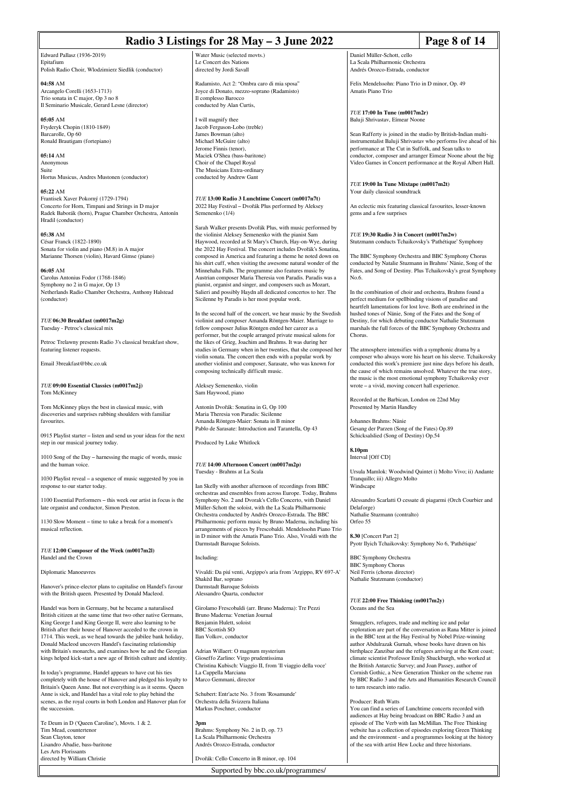| Page 8 of 14<br>Radio 3 Listings for 28 May – 3 June 2022                                                                                                                                                                                                                                                                                                                                                                                                                                                                                                                                  |                                                                                                                                                                                                                                                                                                                                                                                    |                                                                                                                                                                                                                                                                                                                                                                                                                                                                                                                        |  |  |
|--------------------------------------------------------------------------------------------------------------------------------------------------------------------------------------------------------------------------------------------------------------------------------------------------------------------------------------------------------------------------------------------------------------------------------------------------------------------------------------------------------------------------------------------------------------------------------------------|------------------------------------------------------------------------------------------------------------------------------------------------------------------------------------------------------------------------------------------------------------------------------------------------------------------------------------------------------------------------------------|------------------------------------------------------------------------------------------------------------------------------------------------------------------------------------------------------------------------------------------------------------------------------------------------------------------------------------------------------------------------------------------------------------------------------------------------------------------------------------------------------------------------|--|--|
| Edward Pallasz (1936-2019)<br>Epitafium<br>Polish Radio Choir, Wlodzimierz Siedlik (conductor)                                                                                                                                                                                                                                                                                                                                                                                                                                                                                             | Water Music (selected movts.)<br>Le Concert des Nations<br>directed by Jordi Savall                                                                                                                                                                                                                                                                                                | Daniel Müller-Schott, cello<br>La Scala Philharmonic Orchestra<br>Andrés Orozco-Estrada, conductor                                                                                                                                                                                                                                                                                                                                                                                                                     |  |  |
| 04:58 AM<br>Arcangelo Corelli (1653-1713)<br>Trio sonata in C major, Op 3 no 8<br>Il Seminario Musicale, Gerard Lesne (director)                                                                                                                                                                                                                                                                                                                                                                                                                                                           | Radamisto, Act 2: "Ombra caro di mia sposa"<br>Joyce di Donato, mezzo-soprano (Radamisto)<br>Il complesso Barocco<br>conducted by Alan Curtis,                                                                                                                                                                                                                                     | Felix Mendelssohn: Piano Trio in D minor, Op. 49<br>Amatis Piano Trio                                                                                                                                                                                                                                                                                                                                                                                                                                                  |  |  |
| 05:05 AM                                                                                                                                                                                                                                                                                                                                                                                                                                                                                                                                                                                   | I will magnify thee                                                                                                                                                                                                                                                                                                                                                                | TUE 17:00 In Tune (m0017m2r)<br>Baluji Shrivastav, Eímear Noone                                                                                                                                                                                                                                                                                                                                                                                                                                                        |  |  |
| Fryderyk Chopin (1810-1849)<br>Barcarolle, Op 60<br>Ronald Brautigam (fortepiano)                                                                                                                                                                                                                                                                                                                                                                                                                                                                                                          | Jacob Ferguson-Lobo (treble)<br>James Bowman (alto)<br>Michael McGuire (alto)<br>Jerome Finnis (tenor),                                                                                                                                                                                                                                                                            | Sean Rafferty is joined in the studio by British-Indian mult<br>instrumentalist Baluji Shrivastav who performs live ahead<br>performance at The Cut in Suffolk, and Sean talks to                                                                                                                                                                                                                                                                                                                                      |  |  |
| 05:14 AM<br>Anonymous<br>Suite                                                                                                                                                                                                                                                                                                                                                                                                                                                                                                                                                             | Maciek O'Shea (bass-baritone)<br>Choir of the Chapel Royal<br>The Musicians Extra-ordinary                                                                                                                                                                                                                                                                                         | conductor, composer and arranger Eimear Noone about the<br>Video Games in Concert performance at the Royal Albert I                                                                                                                                                                                                                                                                                                                                                                                                    |  |  |
| Hortus Musicus, Andres Mustonen (conductor)                                                                                                                                                                                                                                                                                                                                                                                                                                                                                                                                                | conducted by Andrew Gant                                                                                                                                                                                                                                                                                                                                                           | TUE 19:00 In Tune Mixtape (m0017m2t)                                                                                                                                                                                                                                                                                                                                                                                                                                                                                   |  |  |
| 05:22 AM<br>Frantisek Xaver Pokorný (1729-1794)<br>Concerto for Horn, Timpani and Strings in D major<br>Radek Baborák (horn), Prague Chamber Orchestra, Antonín<br>Hradil (conductor)                                                                                                                                                                                                                                                                                                                                                                                                      | TUE 13:00 Radio 3 Lunchtime Concert (m0017n7t)<br>2022 Hay Festival - Dvořák Plus performed by Aleksey<br>Semenenko (1/4)                                                                                                                                                                                                                                                          | Your daily classical soundtrack<br>An eclectic mix featuring classical favourites, lesser-known<br>gems and a few surprises                                                                                                                                                                                                                                                                                                                                                                                            |  |  |
| 05:38 AM<br>César Franck (1822-1890)<br>Sonata for violin and piano (M.8) in A major<br>Marianne Thorsen (violin), Havard Gimse (piano)                                                                                                                                                                                                                                                                                                                                                                                                                                                    | Sarah Walker presents Dvořák Plus, with music performed by<br>the violinist Aleksey Semenenko with the pianist Sam<br>Haywood, recorded at St Mary's Church, Hay-on-Wye, during<br>the 2022 Hay Festival. The concert includes Dvořák's Sonatina,<br>composed in America and featuring a theme he noted down on<br>his shirt cuff, when visiting the awesome natural wonder of the | TUE 19:30 Radio 3 in Concert (m0017m2w)<br>Stutzmann conducts Tchaikovsky's 'Pathétique' Symphony<br>The BBC Symphony Orchestra and BBC Symphony Choru<br>conducted by Natalie Stuzmann in Brahms' Nänie, Song of                                                                                                                                                                                                                                                                                                      |  |  |
| 06:05 AM<br>Carolus Antonius Fodor (1768-1846)<br>Symphony no 2 in G major, Op 13                                                                                                                                                                                                                                                                                                                                                                                                                                                                                                          | Minnehaha Falls. The programme also features music by<br>Austrian composer Maria Theresia von Paradis. Paradis was a<br>pianist, organist and singer, and composers such as Mozart,                                                                                                                                                                                                | Fates, and Song of Destiny. Plus Tchaikovsky's great Symp<br>No.6.                                                                                                                                                                                                                                                                                                                                                                                                                                                     |  |  |
| Netherlands Radio Chamber Orchestra, Anthony Halstead<br>(conductor)                                                                                                                                                                                                                                                                                                                                                                                                                                                                                                                       | Salieri and possibly Haydn all dedicated concertos to her. The<br>Sicilenne by Paradis is her most popular work.<br>In the second half of the concert, we hear music by the Swedish                                                                                                                                                                                                | In the combination of choir and orchestra, Brahms found a<br>perfect medium for spellbinding visions of paradise and<br>heartfelt lamentations for lost love. Both are enshrined in th<br>hushed tones of Nänie, Song of the Fates and the Song of                                                                                                                                                                                                                                                                     |  |  |
| TUE 06:30 Breakfast (m0017m2g)<br>Tuesday - Petroc's classical mix                                                                                                                                                                                                                                                                                                                                                                                                                                                                                                                         | violinist and composer Amanda Röntgen-Maier. Marriage to<br>fellow composer Julius Röntgen ended her career as a<br>performer, but the couple arranged private musical salons for                                                                                                                                                                                                  | Destiny, for which debuting conductor Nathalie Stutzmann<br>marshals the full forces of the BBC Symphony Orchestra a<br>Chorus.                                                                                                                                                                                                                                                                                                                                                                                        |  |  |
| Petroc Trelawny presents Radio 3's classical breakfast show,<br>featuring listener requests.                                                                                                                                                                                                                                                                                                                                                                                                                                                                                               | the likes of Grieg, Joachim and Brahms. It was during her<br>studies in Germany when in her twenties, that she composed her<br>violin sonata. The concert then ends with a popular work by                                                                                                                                                                                         | The atmosphere intensifies with a symphonic drama by a<br>composer who always wore his heart on his sleeve. Tchaiko                                                                                                                                                                                                                                                                                                                                                                                                    |  |  |
| Email 3breakfast@bbc.co.uk                                                                                                                                                                                                                                                                                                                                                                                                                                                                                                                                                                 | another violinist and composer, Sarasate, who was known for<br>composing technically difficult music.                                                                                                                                                                                                                                                                              | conducted this work's premiere just nine days before his de<br>the cause of which remains unsolved. Whatever the true sto<br>the music is the most emotional symphony Tchaikovsky ev                                                                                                                                                                                                                                                                                                                                   |  |  |
| TUE 09:00 Essential Classics (m0017m2j)<br>Tom McKinney                                                                                                                                                                                                                                                                                                                                                                                                                                                                                                                                    | Aleksey Semenenko, violin<br>Sam Haywood, piano                                                                                                                                                                                                                                                                                                                                    | wrote - a vivid, moving concert hall experience.<br>Recorded at the Barbican, London on 22nd May                                                                                                                                                                                                                                                                                                                                                                                                                       |  |  |
| Tom McKinney plays the best in classical music, with<br>discoveries and surprises rubbing shoulders with familiar<br>favourites.                                                                                                                                                                                                                                                                                                                                                                                                                                                           | Antonín Dvořák: Sonatina in G, Op 100<br>Maria Theresia von Paradis: Sicilenne<br>Amanda Röntgen-Maier: Sonata in B minor<br>Pablo de Sarasate: Introduction and Tarantella, Op 43                                                                                                                                                                                                 | Presented by Martin Handley<br>Johannes Brahms: Nänie<br>Gesang der Parzen (Song of the Fates) Op.89                                                                                                                                                                                                                                                                                                                                                                                                                   |  |  |
| 0915 Playlist starter – listen and send us your ideas for the next<br>step in our musical journey today.                                                                                                                                                                                                                                                                                                                                                                                                                                                                                   | Produced by Luke Whitlock                                                                                                                                                                                                                                                                                                                                                          | Schicksalslied (Song of Destiny) Op.54                                                                                                                                                                                                                                                                                                                                                                                                                                                                                 |  |  |
| 1010 Song of the Day - harnessing the magic of words, music<br>and the human voice.                                                                                                                                                                                                                                                                                                                                                                                                                                                                                                        | TUE 14:00 Afternoon Concert (m0017m2p)<br>Tuesday - Brahms at La Scala                                                                                                                                                                                                                                                                                                             | 8.10pm<br>Interval [Off CD]<br>Ursula Mamlok: Woodwind Quintet i) Molto Vivo; ii) And                                                                                                                                                                                                                                                                                                                                                                                                                                  |  |  |
| 1030 Playlist reveal - a sequence of music suggested by you in<br>response to our starter today.                                                                                                                                                                                                                                                                                                                                                                                                                                                                                           | Ian Skelly with another afternoon of recordings from BBC<br>orchestras and ensembles from across Europe. Today, Brahms                                                                                                                                                                                                                                                             | Tranquillo; iii) Allegro Molto<br>Windscape                                                                                                                                                                                                                                                                                                                                                                                                                                                                            |  |  |
| 1100 Essential Performers – this week our artist in focus is the<br>late organist and conductor, Simon Preston.<br>1130 Slow Moment - time to take a break for a moment's                                                                                                                                                                                                                                                                                                                                                                                                                  | Symphony No. 2 and Dvorak's Cello Concerto, with Daniel<br>Müller-Schott the soloist, with the La Scala Philharmonic<br>Orchestra conducted by Andrés Orozco-Estrada. The BBC                                                                                                                                                                                                      | Alessandro Scarlatti O cessate di piagarmi (Orch Courbier<br>Delaforge)<br>Nathalie Stuzmann (contralto)                                                                                                                                                                                                                                                                                                                                                                                                               |  |  |
| musical reflection.                                                                                                                                                                                                                                                                                                                                                                                                                                                                                                                                                                        | Philharmonic perform music by Bruno Maderna, including his<br>arrangements of pieces by Frescobaldi. Mendelssohn Piano Trio<br>in D minor with the Amatis Piano Trio. Also, Vivaldi with the<br>Darmstadt Baroque Soloists.                                                                                                                                                        | Orfeo 55<br><b>8.30</b> [Concert Part 2]<br>Pyotr Ilyich Tchaikovsky: Symphony No 6, 'Pathétique'                                                                                                                                                                                                                                                                                                                                                                                                                      |  |  |
| TUE 12:00 Composer of the Week (m0017m2l)<br>Handel and the Crown                                                                                                                                                                                                                                                                                                                                                                                                                                                                                                                          | Including:                                                                                                                                                                                                                                                                                                                                                                         | <b>BBC</b> Symphony Orchestra<br><b>BBC Symphony Chorus</b>                                                                                                                                                                                                                                                                                                                                                                                                                                                            |  |  |
| Diplomatic Manoeuvres<br>Hanover's prince-elector plans to capitalise on Handel's favour                                                                                                                                                                                                                                                                                                                                                                                                                                                                                                   | Vivaldi: Da piú venti, Argippo's aria from 'Argippo, RV 697-A'<br>Shakèd Bar, soprano<br>Darmstadt Baroque Soloists                                                                                                                                                                                                                                                                | Neil Ferris (chorus director)<br>Nathalie Stutzmann (conductor)                                                                                                                                                                                                                                                                                                                                                                                                                                                        |  |  |
| with the British queen. Presented by Donald Macleod.                                                                                                                                                                                                                                                                                                                                                                                                                                                                                                                                       | Alessandro Quarta, conductor                                                                                                                                                                                                                                                                                                                                                       | TUE 22:00 Free Thinking (m0017m2y)                                                                                                                                                                                                                                                                                                                                                                                                                                                                                     |  |  |
| Handel was born in Germany, but he became a naturalised<br>British citizen at the same time that two other native Germans,<br>King George I and King George II, were also learning to be<br>British after their house of Hanover acceded to the crown in<br>1714. This week, as we head towards the jubilee bank holiday,<br>Donald Macleod uncovers Handel's fascinating relationship<br>with Britain's monarchs, and examines how he and the Georgian<br>kings helped kick-start a new age of British culture and identity.<br>In today's programme, Handel appears to have cut his ties | Girolamo Frescobaldi (arr. Bruno Maderna): Tre Pezzi<br>Bruno Maderna: Venetian Journal<br>Benjamin Hulett, soloist<br><b>BBC</b> Scottish SO<br>Ilan Volkov, conductor<br>Adrian Willaert: O magnum mysterium<br>Gioseffo Zarlino: Virgo prudentissima<br>Christina Kubisch: Viaggio II, from 'Il viaggio della voce'<br>La Cappella Marciana                                     | Oceans and the Sea<br>Smugglers, refugees, trade and melting ice and polar<br>exploration are part of the conversation as Rana Mitter is jo<br>in the BBC tent at the Hay Festival by Nobel Prize-winning<br>author Abdulrazak Gurnah, whose books have drawn on his<br>birthplace Zanzibar and the refugees arriving at the Kent co<br>climate scientist Professor Emily Shuckburgh, who worked<br>the British Antarctic Survey; and Joan Passey, author of<br>Cornish Gothic, a New Generation Thinker on the scheme |  |  |
| completely with the house of Hanover and pledged his loyalty to<br>Britain's Queen Anne. But not everything is as it seems. Queen<br>Anne is sick, and Handel has a vital role to play behind the<br>scenes, as the royal courts in both London and Hanover plan for<br>the succession.                                                                                                                                                                                                                                                                                                    | Marco Gemmani, director<br>Schubert: Entr'acte No. 3 from 'Rosamunde'<br>Orchestra della Svizzera Italiana<br>Markus Poschner, conductor                                                                                                                                                                                                                                           | by BBC Radio 3 and the Arts and Humanities Research Co<br>to turn research into radio.<br>Producer: Ruth Watts<br>You can find a series of Lunchtime concerts recorded with<br>audiences at Hay being broadcast on BBC Radio 3 and an                                                                                                                                                                                                                                                                                  |  |  |
| Te Deum in D ('Queen Caroline'), Movts. 1 & 2.<br>Tim Mead, countertenor<br>Sean Clayton, tenor<br>Lisandro Abadie, bass-baritone<br>Les Arts Florissants<br>directed by William Christie                                                                                                                                                                                                                                                                                                                                                                                                  | 3pm<br>Brahms: Symphony No. 2 in D, op. 73<br>La Scala Philharmonic Orchestra<br>Andrés Orozco-Estrada, conductor<br>Dvořák: Cello Concerto in B minor, op. 104                                                                                                                                                                                                                    | episode of The Verb with Ian McMillan. The Free Thinkin<br>website has a collection of episodes exploring Green Think<br>and the environment - and a programmes looking at the his<br>of the sea with artist Hew Locke and three historians.                                                                                                                                                                                                                                                                           |  |  |

-Indian multiinstrumentalist Baluji Shrivastav who performs live ahead of his<br>performance at The Cut in Suffolk, and Sean talks to<br>conductor, composer and arranger Eimear Noone about the big<br>Video Games in Concert performance at the Ro

The BBC Symphony Orchestra and BBC Symphony Chorus conducted by Natalie Stuzmann in Brahms' Nänie, Song of the Fates, and Song of Destiny. Plus Tchaikovsky's great Symphony

The atmosphere intensifies with a symphonic drama by a<br>composer who always wore his heart on his sleeve. Tchaikovsky<br>conducted this work's premiere just nine days before his death,<br>the cause of which remains unsolved. What wrote – a vivid, moving concert hall experience.

Vivo; ii) Andante

ch Courbier and

Smugglers, refugees, trade and melting ice and polar<br>exploration are part of the conversation as Rana Mitter is joined<br>in the BBC tent at the Hay Festival by Nobel Prize-winning<br>author Abdulrazak Gurnah, whose books have d

You can find a series of Lunchtime concerts recorded with<br>audiences at Hay being broadcast on BBC Radio 3 and an<br>episode of The Verb with Ian McMillan. The Free Thinking<br>website has a collection of episodes exploring Green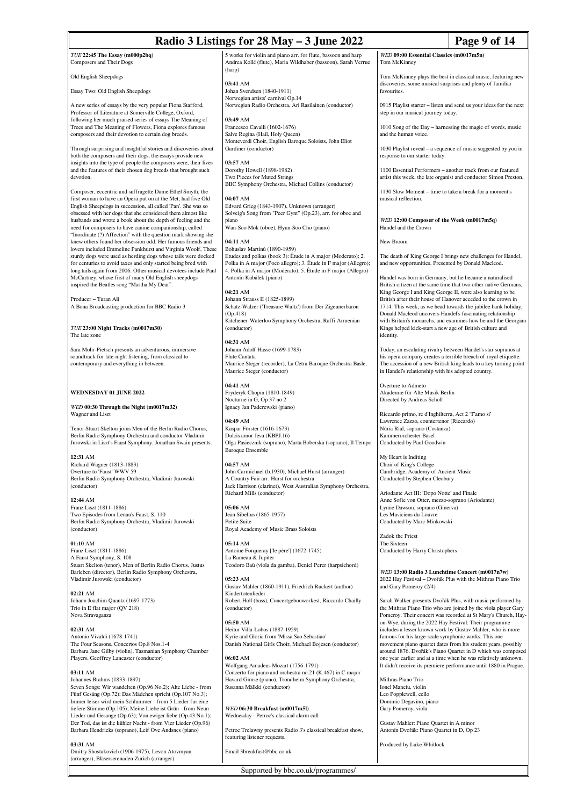## **Radio 3 Listings for 28 May – 3 June 2022** Page 9 of 14

*TUE* **22:45 The Essay (m000p2bq)** Composers and Their Dogs

Old English Sheepdogs

Essay Two: Old English Sheepdogs

A new series of essays by the very popular Fiona Stafford, Professor of Literature at Somerville College, Oxford, following her much praised series of essays The Meaning of Trees and The Meaning of Flowers, Fiona explores famous composers and their devotion to certain dog breeds.

Through surprising and insightful stories and discoveries about both the composers and their dogs, the essays provide new insights into the type of people the composers were, their lives and the features of their chosen dog breeds that brought such devotion.

Composer, eccentric and suffragette Dame Ethel Smyth, the first woman to have an Opera put on at the Met, had five Old English Sheepdogs in succession, all called 'Pan'. She was so obsessed with her dogs that she considered them almost like husbands and wrote a book about the depth of feeling and the need for composers to have canine companionship, called "Inordinate (?) Affection" with the question mark showing she knew others found her obsession odd. Her famous friends and lovers included Emmeline Pankhurst and Virginia Woolf, These sturdy dogs were used as herding dogs whose tails were docked for centuries to avoid taxes and only started being bred with long tails again from 2006. Other musical devotees include Paul McCartney, whose first of many Old English sheepdogs inspired the Beatles song "Martha My Dear".

Producer – Turan Ali A Bona Broadcasting production for BBC Radio 3

*TUE* **23:00 Night Tracks (m0017m30)** The late zone

Sara Mohr-Pietsch presents an adventurous, immersive soundtrack for late-night listening, from classical to contemporary and everything in between.

## **WEDNESDAY 01 JUNE 2022**

*WED* **00:30 Through the Night (m0017m32)** Wagner and Liszt

Tenor Stuart Skelton joins Men of the Berlin Radio Chorus, Berlin Radio Symphony Orchestra and conductor Vladimir Jurowski in Liszt's Faust Symphony. Jonathan Swain presents.

**12:31** AM Richard Wagner (1813-1883) Overture to 'Faust' WWV 59 Berlin Radio Symphony Orchestra, Vladimir Jurowski (conductor)

**12:44** AM

Franz Liszt (1811-1886) Two Episodes from Lenau's Faust, S. 110 Berlin Radio Symphony Orchestra, Vladimir Jurowski (conductor)

**01:10** AM

Franz Liszt (1811-1886) A Faust Symphony, S. 108 Stuart Skelton (tenor), Men of Berlin Radio Chorus, Justus Barleben (director), Berlin Radio Symphony Orchestra, Vladimir Jurowski (conductor)

**02:21** AM Johann Joachim Quantz (1697-1773) Trio in E flat major (QV 218) Nova Stravaganza

**02:31** AM Antonio Vivaldi (1678-1741) The Four Seasons, Concertos Op.8 Nos.1-4 Barbara Jane Gilby (violin), Tasmanian Symphony Chamber Players, Geoffrey Lancaster (conductor)

### **03:11** AM

Johannes Brahms (1833-1897) Seven Songs: Wir wandelten (Op.96 No.2); Alte Liebe - from Fünf Gesäng (Op.72); Das Mädchen spricht (Op.107 No.3); Immer leiser wird mein Schlummer - from 5 Lieder fur eine tiefere Stimme (Op.105); Meine Liebe ist Grün - from Neun Lieder und Gesange (Op.63); Von ewiger liebe (Op.43 No.1); Der Tod, das ist die kühler Nacht - from Vier Lieder (Op.96) Barbara Hendricks (soprano), Leif Ove Andsnes (piano)

**03:31** AM

Dmitry Shostakovich (1906-1975), Levon Atovmyan (arranger), Bläserserenaden Zurich (arranger)

5 works for violin and piano arr. for flute, bassoon and harp Andrea Kollé (flute), Maria Wildhaber (bassoon), Sarah Verrue (harp)

**03:41** AM Johan Svendsen (1840-1911) Norwegian artists' carnival Op.14 Norwegian Radio Orchestra, Ari Rasilainen (conductor)

**03:49** AM Francesco Cavalli (1602-1676) Salve Regina (Hail, Holy Queen) Monteverdi Choir, English Baroque Soloists, John Eliot Gardiner (conductor)

**03:57** AM Dorothy Howell (1898-1982) Two Pieces for Muted Strings BBC Symphony Orchestra, Michael Collins (conductor)

**04:07** AM

Edvard Grieg (1843-1907), Unknown (arranger) Solveig's Song from "Peer Gynt" (Op.23), arr. for oboe and piano

Wan-Soo Mok (oboe), Hyun-Soo Cho (piano)

**04:11** AM Bohuslav Martinů (1890-1959) Etudes and polkas (book 3): Étude in A major (Moderato); 2. Polka in A major (Poco allegro); 3. Étude in F major (Allegro); 4. Polka in A major (Moderato); 5. Étude in F major (Allegro) Antonín Kubálek (piano)

**04:21** AM Johann Strauss II (1825-1899) Schatz-Walzer ('Treasure Waltz') from Der Zigeunerbaron (Op.418) Kitchener-Waterloo Symphony Orchestra, Raffi Armenian (conductor)

**04:31** AM Johann Adolf Hasse (1699-1783) Flute Cantata Maurice Steger (recorder), La Cetra Baroque Orchestra Basle, Maurice Steger (conductor)

**04:41** AM Fryderyk Chopin (1810-1849) Nocturne in G, Op 37 no 2 Ignacy Jan Paderewski (piano)

**04:49** AM Kaspar Förster (1616-1673) Dulcis amor Jesu (KBPJ.16) Olga Pasiecznik (soprano), Marta Boberska (soprano), Il Tempo Baroque Ensemble

**04:57** AM John Carmichael (b.1930), Michael Hurst (arranger) A Country Fair arr. Hurst for orchestra Jack Harrison (clarinet), West Australian Symphony Orchestra, Richard Mills (conductor)

**05:06** AM Jean Sibelius (1865-1957) Petite Suite Royal Academy of Music Brass Soloists

**05:14** AM Antoine Forqueray ['le père'] (1672-1745) La Rameau & Jupiter Teodoro Baù (viola da gamba), Deniel Perer (harpsichord)

**05:23** AM Gustav Mahler (1860-1911), Friedrich Ruckert (author) Kindertotenlieder Robert Holl (bass), Concertgebouworkest, Riccardo Chailly (conductor)

**05:50** AM Heitor Villa-Lobos (1887-1959) Kyrie and Gloria from 'Missa Sao Sebastiao' Danish National Girls Choir, Michael Bojesen (conductor)

**06:02** AM Wolfgang Amadeus Mozart (1756-1791) Concerto for piano and orchestra no.21 (K.467) in C major Havard Gimse (piano), Trondheim Symphony Orchestra, Susanna Mälkki (conductor)

*WED* **06:30 Breakfast (m0017m5l)** Wednesday - Petroc's classical alarm call

Petroc Trelawny presents Radio 3's classical breakfast show, featuring listener requests.

Email 3breakfast@bbc.co.uk

Supported by bbc.co.uk/programmes/

*WED* **09:00 Essential Classics (m0017m5n)** Tom McKinney

Tom McKinney plays the best in classical music, featuring new discoveries, some musical surprises and plenty of familiar favourites.

0915 Playlist starter – listen and send us your ideas for the next step in our musical journey today.

1010 Song of the Day – harnessing the magic of words, music and the human voice.

1030 Playlist reveal – a sequence of music suggested by you in response to our starter today.

1100 Essential Performers – another track from our featured artist this week, the late organist and conductor Simon Preston.

1130 Slow Moment – time to take a break for a moment's musical reflection.

*WED* **12:00 Composer of the Week (m0017m5q)** Handel and the Crown

New Broom

The death of King George I brings new challenges for Handel, and new opportunities. Presented by Donald Macleod.

Handel was born in Germany, but he became a naturalised British citizen at the same time that two other native Germans, King George I and King George II, were also learning to be British after their house of Hanover acceded to the crown in 1714. This week, as we head towards the jubilee bank holiday, Donald Macleod uncovers Handel's fascinating relationship with Britain's monarchs, and examines how he and the Georgia Kings helped kick-start a new age of British culture and identity.

Today, an escalating rivalry between Handel's star sopranos at his opera company creates a terrible breach of royal etiquette. The accession of a new British king leads to a key turning point in Handel's relationship with his adopted country.

Overture to Admeto Akademie für Alte Musik Berlin Directed by Andreas Scholl

Riccardo primo, re d'Inghilterra, Act 2 'T'amo si' Lawrence Zazzo, countertenor (Riccardo) Núria Rial, soprano (Costanza) Kammerorchester Basel Conducted by Paul Goodwin

My Heart is Inditing Choir of King's College Cambridge, Academy of Ancient Music Conducted by Stephen Cleobury

Ariodante Act III: 'Dopo Notte' and Finale Anne Sofie von Otter, mezzo-soprano (Ariodante) Lynne Dawson, soprano (Ginerva) Les Musiciens du Louvre Conducted by Marc Minkowski

Zadok the Priest The Sixteen Conducted by Harry Christophers

*WED* **13:00 Radio 3 Lunchtime Concert (m0017n7w)** 2022 Hay Festival – Dvořák Plus with the Mithras Piano Trio and Gary Pomeroy (2/4)

Sarah Walker presents Dvořák Plus, with music performed by the Mithras Piano Trio who are joined by the viola player Gary Pomeroy. Their concert was recorded at St Mary's Church, Hayon-Wye, during the 2022 Hay Festival. Their programme includes a lesser known work by Gustav Mahler, who is more famous for his large-scale symphonic works. This one movement piano quartet dates from his student years, possibly around 1876. Dvořák's Piano Quartet in D which was composed one year earlier and at a time when he was relatively unknown. It didn't receive its premiere performance until 1880 in Prague.

Mithras Piano Trio Ionel Manciu, violin Leo Popplewell, cello Dominic Degavino, piano Gary Pomeroy, viola

Gustav Mahler: Piano Quartet in A minor Antonín Dvořák: Piano Quartet in D, Op 23

Produced by Luke Whitlock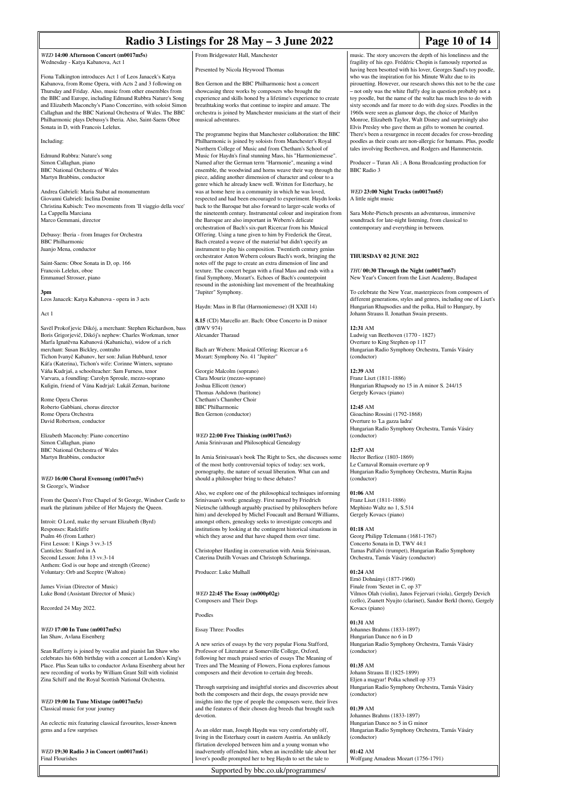# **Radio 3 Listings for 28 May – 3 June 2022** Page 10 of 14

*WED* **14:00 Afternoon Concert (m0017m5s)** Wednesday - Katya Kabanova, Act 1

Fiona Talkington introduces Act 1 of Leos Janacek's Katya Kabanova, from Rome Opera, with Acts 2 and 3 following on Thursday and Friday. Also, music from other ensembles from the BBC and Europe, including Edmund Rubbra Nature's Song and Elizabeth Maconchy's Piano Concertino, with soloist Simon Callaghan and the BBC National Orchestra of Wales. The BBC Philharmonic plays Debussy's Iberia. Also, Saint-Saens Oboe Sonata in D, with Francois Lelelux.

## Including:

Edmund Rubbra: Nature's song Simon Callaghan, piano BBC National Orchestra of Wales Martyn Brabbins, conducto

Andrea Gabrieli: Maria Stabat ad monumentum Giovanni Gabrieli: Inclina Domine Christina Kubisch: Two movements from 'Il viaggio della voce' La Cappella Marciana Marco Gemmani, direct

Debussy: Iberia - from Images for Orchestra BBC Philharmonic Juanjo Mena, conductor

Saint-Saens: Oboe Sonata in D, op. 166 Francois Lelelux, oboe Emmanuel Strosser, piano

**3pm** Leos Janacek: Katya Kabanova - opera in 3 acts

Act 1

Savël Prokofjevic Dikój, a merchant: Stephen Richardson, bass Boris Grigorjevič, Dikój's nephew: Charles Workman, tenor Marfa Ignatěvna Kabanová (Kabanicha), widow of a rich merchant: Susan Bickley, contralto Tichon Ivanyč Kabanov, her son: Julian Hubbard, tenor Káťa (Katerina), Tichon's wife: Corinne Winters, soprano Váňa Kudrjaš, a schoolteacher: Sam Furness, tenor Varvara, a foundling: Carolyn Sproule, mezzo-soprano Kuligin, friend of Vána Kudrjaš: Lukáš Zeman, baritone

Rome Opera Chorus Roberto Gabbiani, chorus director Rome Opera Orchestra David Robertson, conductor

Elizabeth Maconchy: Piano concertino Simon Callaghan, piano BBC National Orchestra of Wales Martyn Brabbins, conductor

*WED* **16:00 Choral Evensong (m0017m5v)** St George's, Windsor

From the Queen's Free Chapel of St George, Windsor Castle to mark the platinum jubilee of Her Majesty the Queen.

Introit: O Lord, make thy servant Elizabeth (Byrd) Responses: Radcliffe Psalm 46 (from Luther) First Lesson: 1 Kings 3 vv.3-15 Canticles: Stanford in A Second Lesson: John 13 vv.3-14 Anthem: God is our hope and strength (Greene) Voluntary: Orb and Sceptre (Walton)

James Vivian (Director of Music) Luke Bond (Assistant Director of Music)

Recorded 24 May 2022.

*WED* **17:00 In Tune (m0017m5x)** Ian Shaw, Avlana Eisenberg

Sean Rafferty is joined by vocalist and pianist Ian Shaw who celebrates his 60th birthday with a concert at London's King's Place. Plus Sean talks to conductor Avlana Eisenberg about her new recording of works by William Grant Still with violinist Zina Schiff and the Royal Scottish National Orchestra.

*WED* **19:00 In Tune Mixtape (m0017m5z)** Classical music for your journey

An eclectic mix featuring classical favourites, lesser-known gems and a few surprises

*WED* **19:30 Radio 3 in Concert (m0017m61)** Final Flourishes

From Bridgewater Hall, Manchester

ented by Nicola Heywood Thomas

Ben Gernon and the BBC Philharmonic host a concert showcasing three works by composers who brought the experience and skills honed by a lifetime's experience to create breathtaking works that continue to inspire and amaze. The orchestra is joined by Manchester musicians at the start of their musical adventures.

The programme begins that Manchester collaboration: the BBC Philharmonic is joined by soloists from Manchester's Royal Northern College of Music and from Chetham's School of Music for Haydn's final stunning Mass, his "Harmoniemesse". Named after the German term "Harmonie", meaning a wind ensemble, the woodwind and horns weave their way through the piece, adding another dimension of character and colour to a genre which he already knew well. Written for Esterhazy, he was at home here in a community in which he was loved, respected and had been encouraged to experiment. Haydn looks back to the Baroque but also forward to larger-scale works of the nineteenth century. Instrumental colour and inspiration from the Baroque are also important in Webern's delicate orchestration of Bach's six-part Ricercar from his Musical Offering. Using a tune given to him by Frederick the Great, Bach created a weave of the material but didn't specify an instrument to play his composition. Twentieth century genius orchestrator Anton Webern colours Bach's work, bringing the notes off the page to create an extra dimension of line and texture. The concert began with a final Mass and ends with a final Symphony, Mozart's. Echoes of Bach's counterpoint resound in the astonishing last movement of the breathtaking "Jupiter" Symphony.

Haydn: Mass in B flat (Harmoniemesse) (H XXII 14)

**8.15** (CD) Marcello arr. Bach: Oboe Concerto in D minor (BWV 974) Alexander Tharaud

Bach arr Webern: Musical Offering: Ricercar a 6 Mozart: Symphony No. 41 "Jupiter"

Georgie Malcolm (soprano) Clara Mouriz (mezzo-soprano) Joshua Ellicott (tenor) Thomas Ashdown (baritone) Chetham's Chamber Choir BBC Philharmonic Ben Gernon (conductor)

*WED* **22:00 Free Thinking (m0017m63)** Amia Srinivasan and Philosophical Genealogy

In Amia Srinivasan's book The Right to Sex, she discusses some of the most hotly controversial topics of today: sex work, pornography, the nature of sexual liberation. What can and should a philosopher bring to these debates?

Also, we explore one of the philosophical techniques informing Srinivasan's work: genealogy. First named by Friedrich Nietzsche (although arguably practised by philosophers before him) and developed by Michel Foucault and Bernard Williams, amongst others, genealogy seeks to investigate concepts and institutions by looking at the contingent historical situations in which they arose and that have shaped them over time.

Christopher Harding in conversation with Amia Srinivasan, Caterina Dutilh Vovaes and Christoph Schurinnga.

Producer: Luke Mulhall

*WED* **22:45 The Essay (m000p02g)** Composers and Their Dogs

Poodles

Essay Three: Poodles

A new series of essays by the very popular Fiona Stafford, Professor of Literature at Somerville College, Oxford, following her much praised series of essays The Meaning of Trees and The Meaning of Flowers, Fiona explores famous composers and their devotion to certain dog breeds.

Through surprising and insightful stories and discoveries about both the composers and their dogs, the essays provide new insights into the type of people the composers were, their lives and the features of their chosen dog breeds that brought such devotion.

As an older man, Joseph Haydn was very comfortably off, living in the Esterhazy court in eastern Austria. An unlikely flirtation developed between him and a young woman who inadvertently offended him, when an incredible tale about her lover's poodle prompted her to beg Haydn to set the tale to

music. The story uncovers the depth of his loneliness and the fragility of his ego. Frédéric Chopin is famously reported as having been besotted with his lover, Georges Sand's toy poodle who was the inspiration for his Minute Waltz due to its pirouetting. However, our research shows this not to be the case – not only was the white fluffy dog in question probably not a toy poodle, but the name of the waltz has much less to do with sixty seconds and far more to do with dog sizes. Poodles in the 1960s were seen as glamour dogs, the choice of Marilyn Monroe, Elizabeth Taylor, Walt Disney and surprisingly also Elvis Presley who gave them as gifts to women he courted. There's been a resurgence in recent decades for cross-breeding poodles as their coats are non-allergic for humans. Plus, poodle tales involving Beethoven, and Rodgers and Hammerstein.

Producer – Turan Ali ; A Bona Broadcasting production for BBC Radio 3

*WED* **23:00 Night Tracks (m0017m65)** A little night mus

Sara Mohr-Pietsch presents an adventurous, immersive soundtrack for late-night listening, from classical to contemporary and everything in between.

## **THURSDAY 02 JUNE 2022**

*THU* **00:30 Through the Night (m0017m67)** New Year's Concert from the Liszt Academy, Budapest

To celebrate the New Year, masterpieces from composers of different generations, styles and genres, including one of Liszt's Hungarian Rhapsodies and the polka, Hail to Hungary, by Johann Strauss ll. Jonathan Swain presents.

**12:31** AM Ludwig van Beethoven (1770 - 1827) Overture to King Stephen op 117 Hungarian Radio Symphony Orchestra, Tamás Vásáry (conductor)

**12:39** AM Franz Liszt (1811-1886) Hungarian Rhapsody no 15 in A minor S. 244/15 Gergely Kovacs (piano)

**12:45** AM Gioachino Rossini (1792-1868) Overture to 'La gazza ladra' Hungarian Radio Symphony Orchestra, Tamás Vásáry (conductor)

**12:57** AM Hector Berlioz (1803-1869) Le Carnaval Romain overture op 9 Hungarian Radio Symphony Orchestra, Martin Rajna (conductor)

**01:06** AM Franz Liszt (1811-1886) Mephisto Waltz no 1, S.514 Gergely Kovacs (piano)

**01:18** AM Georg Philipp Telemann (1681-1767) Concerto Sonata in D, TWV 44:1 Tamas Palfalvi (trumpet), Hungarian Radio Symphony Orchestra, Tamás Vásáry (conductor)

**01:24** AM Ernö Dohnányi (1877-1960) Finale from 'Sextet in C, op 37 Vilmos Olah (violin), Janos Fejervari (viola), Gergely Devich (cello), Zsanett Nyujto (clarinet), Sandor Berkl (horn), Gergely Kovacs (piano)

**01:31** AM Johannes Brahms (1833-1897) Hungarian Dance no 6 in D Hungarian Radio Symphony Orchestra, Tamás Vásáry (conductor)

**01:35** AM Johann Strauss II (1825-1899) Eljen a magyar! Polka schnell op 373 Hungarian Radio Symphony Orchestra, Tamás Vásáry (conductor)

**01:39** AM Johannes Brahms (1833-1897) Hungarian Dance no 5 in G minor Hungarian Radio Symphony Orchestra, Tamás Vásáry (conductor)

**01:42** AM Wolfgang Amadeus Mozart (1756-1791)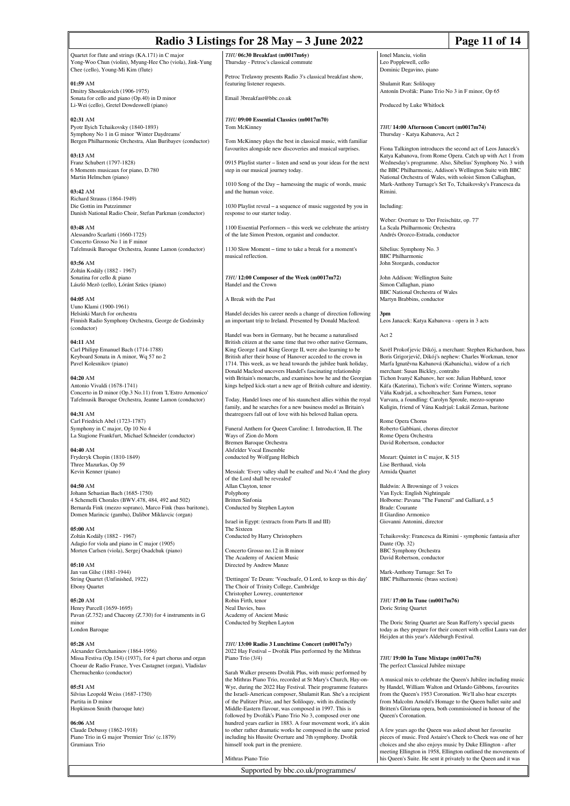| Radio 3 Listings for 28 May - 3 June 2022<br>Page 11 of 14                                                      |                                                                                                                                    |                                                                                                                |                                                                                                                           |  |
|-----------------------------------------------------------------------------------------------------------------|------------------------------------------------------------------------------------------------------------------------------------|----------------------------------------------------------------------------------------------------------------|---------------------------------------------------------------------------------------------------------------------------|--|
| Quartet for flute and strings (KA.171) in C major                                                               | THU 06:30 Breakfast (m0017m6y)                                                                                                     | Ionel Manciu, violin                                                                                           |                                                                                                                           |  |
| Yong-Woo Chun (violin), Myung-Hee Cho (viola), Jink-Yung<br>Chee (cello), Young-Mi Kim (flute)                  | Thursday - Petroc's classical commute                                                                                              | Leo Popplewell, cello<br>Dominic Degavino, piano                                                               |                                                                                                                           |  |
|                                                                                                                 | Petroc Trelawny presents Radio 3's classical breakfast show,                                                                       |                                                                                                                |                                                                                                                           |  |
| 01:59 AM<br>Dmitry Shostakovich (1906-1975)                                                                     | featuring listener requests.                                                                                                       | Shulamit Ran: Soliloquy<br>Antonín Dvořák: Piano Trio No 3 in F minor, Op 65                                   |                                                                                                                           |  |
| Sonata for cello and piano (Op.40) in D minor                                                                   | Email 3breakfast@bbc.co.uk                                                                                                         |                                                                                                                |                                                                                                                           |  |
| Li-Wei (cello), Gretel Dowdeswell (piano)                                                                       |                                                                                                                                    | Produced by Luke Whitlock                                                                                      |                                                                                                                           |  |
| 02:31 AM                                                                                                        | THU 09:00 Essential Classics (m0017m70)                                                                                            |                                                                                                                |                                                                                                                           |  |
| Pyotr Ilyich Tchaikovsky (1840-1893)                                                                            | Tom McKinney                                                                                                                       | THU 14:00 Afternoon Concert (m0017m74)                                                                         |                                                                                                                           |  |
| Symphony No 1 in G minor 'Winter Daydreams'<br>Bergen Philharmonic Orchestra, Alan Buribayev (conductor)        | Tom McKinney plays the best in classical music, with familiar                                                                      | Thursday - Katya Kabanova, Act 2                                                                               |                                                                                                                           |  |
| 03:13 AM                                                                                                        | favourites alongside new discoveries and musical surprises.                                                                        |                                                                                                                | Fiona Talkington introduces the second act of Leos Janacek's<br>Katya Kabanova, from Rome Opera. Catch up with Act 1 from |  |
| Franz Schubert (1797-1828)                                                                                      | 0915 Playlist starter – listen and send us your ideas for the next                                                                 |                                                                                                                | Wednesday's programme. Also, Sibelius' Symphony No. 3 with                                                                |  |
| 6 Moments musicaux for piano, D.780<br>Martin Helmchen (piano)                                                  | step in our musical journey today.                                                                                                 | National Orchestra of Wales, with soloist Simon Callaghan,                                                     | the BBC Philharmonic, Addison's Wellington Suite with BBC                                                                 |  |
|                                                                                                                 | 1010 Song of the Day – harnessing the magic of words, music                                                                        |                                                                                                                | Mark-Anthony Turnage's Set To, Tchaikovsky's Francesca da                                                                 |  |
| 03:42 AM<br>Richard Strauss (1864-1949)                                                                         | and the human voice.                                                                                                               | Rimini.                                                                                                        |                                                                                                                           |  |
| Die Gottin im Putzzimmer                                                                                        | 1030 Playlist reveal – a sequence of music suggested by you in                                                                     | Including:                                                                                                     |                                                                                                                           |  |
| Danish National Radio Choir, Stefan Parkman (conductor)                                                         | response to our starter today.                                                                                                     | Weber: Overture to 'Der Freischütz, op. 77'                                                                    |                                                                                                                           |  |
| 03:48 AM                                                                                                        | 1100 Essential Performers - this week we celebrate the artistry                                                                    | La Scala Philharmonic Orchestra                                                                                |                                                                                                                           |  |
| Alessandro Scarlatti (1660-1725)<br>Concerto Grosso No 1 in F minor                                             | of the late Simon Preston, organist and conductor.                                                                                 | Andrés Orozco-Estrada, conductor                                                                               |                                                                                                                           |  |
| Tafelmusik Baroque Orchestra, Jeanne Lamon (conductor)                                                          | 1130 Slow Moment – time to take a break for a moment's                                                                             | Sibelius: Symphony No. 3                                                                                       |                                                                                                                           |  |
| 03:56 AM                                                                                                        | musical reflection.                                                                                                                | <b>BBC</b> Philharmonic<br>John Storgards, conductor                                                           |                                                                                                                           |  |
| Zoltán Kodály (1882 - 1967)                                                                                     |                                                                                                                                    |                                                                                                                |                                                                                                                           |  |
| Sonatina for cello & piano<br>László Mező (cello), Lóránt Szücs (piano)                                         | THU 12:00 Composer of the Week (m0017m72)<br>Handel and the Crown                                                                  | John Addison: Wellington Suite<br>Simon Callaghan, piano                                                       |                                                                                                                           |  |
|                                                                                                                 |                                                                                                                                    | BBC National Orchestra of Wales                                                                                |                                                                                                                           |  |
| 04:05 AM<br>Uuno Klami (1900-1961)                                                                              | A Break with the Past                                                                                                              | Martyn Brabbins, conductor                                                                                     |                                                                                                                           |  |
| Helsinki March for orchestra                                                                                    | Handel decides his career needs a change of direction following                                                                    | 3pm                                                                                                            |                                                                                                                           |  |
| Finnish Radio Symphony Orchestra, George de Godzinsky<br>(conductor)                                            | an important trip to Ireland. Presented by Donald Macleod.                                                                         | Leos Janacek: Katya Kabanova - opera in 3 acts                                                                 |                                                                                                                           |  |
|                                                                                                                 | Handel was born in Germany, but he became a naturalised                                                                            | Act 2                                                                                                          |                                                                                                                           |  |
| 04:11 AM<br>Carl Philipp Emanuel Bach (1714-1788)                                                               | British citizen at the same time that two other native Germans,<br>King George I and King George II, were also learning to be      |                                                                                                                | Savël Prokofjevic Dikój, a merchant: Stephen Richardson, bass                                                             |  |
| Keyboard Sonata in A minor, Wq 57 no 2                                                                          | British after their house of Hanover acceded to the crown in                                                                       |                                                                                                                | Boris Grigorjevič, Dikój's nephew: Charles Workman, tenor                                                                 |  |
| Pavel Kolesnikov (piano)                                                                                        | 1714. This week, as we head towards the jubilee bank holiday,<br>Donald Macleod uncovers Handel's fascinating relationship         | Marfa Ignatěvna Kabanová (Kabanicha), widow of a rich<br>merchant: Susan Bickley, contralto                    |                                                                                                                           |  |
| 04:20 AM<br>Antonio Vivaldi (1678-1741)                                                                         | with Britain's monarchs, and examines how he and the Georgian                                                                      | Tichon Ivanyč Kabanov, her son: Julian Hubbard, tenor                                                          |                                                                                                                           |  |
| Concerto in D minor (Op.3 No.11) from 'L'Estro Armonico'                                                        | kings helped kick-start a new age of British culture and identity.                                                                 | Káťa (Katerina), Tichon's wife: Corinne Winters, soprano<br>Váňa Kudrjaš, a schoolteacher: Sam Furness, tenor  |                                                                                                                           |  |
| Tafelmusik Baroque Orchestra, Jeanne Lamon (conductor)                                                          | Today, Handel loses one of his staunchest allies within the royal<br>family, and he searches for a new business model as Britain's | Varvara, a foundling: Carolyn Sproule, mezzo-soprano<br>Kuligin, friend of Vána Kudrjaš: Lukáš Zeman, baritone |                                                                                                                           |  |
| 04:31 AM                                                                                                        | theatregoers fall out of love with his beloved Italian opera.                                                                      |                                                                                                                |                                                                                                                           |  |
| Carl Friedrich Abel (1723-1787)<br>Symphony in C major, Op 10 No 4                                              | Funeral Anthem for Queen Caroline: I. Introduction, II. The                                                                        | Rome Opera Chorus<br>Roberto Gabbiani, chorus director                                                         |                                                                                                                           |  |
| La Stagione Frankfurt, Michael Schneider (conductor)                                                            | Ways of Zion do Morn                                                                                                               | Rome Opera Orchestra                                                                                           |                                                                                                                           |  |
| 04:40 AM                                                                                                        | Bremen Baroque Orchestra<br>Alsfelder Vocal Ensemble                                                                               | David Robertson, conductor                                                                                     |                                                                                                                           |  |
| Fryderyk Chopin (1810-1849)                                                                                     | conducted by Wolfgang Helbich                                                                                                      | Mozart: Quintet in C major, K 515                                                                              |                                                                                                                           |  |
| Three Mazurkas, Op 59<br>Kevin Kenner (piano)                                                                   | Messiah: 'Every valley shall be exalted' and No.4 'And the glory                                                                   | Lise Berthaud, viola<br>Armida Quartet                                                                         |                                                                                                                           |  |
|                                                                                                                 | of the Lord shall be revealed'                                                                                                     |                                                                                                                |                                                                                                                           |  |
| 04:50 AM<br>Johann Sebastian Bach (1685-1750)                                                                   | Allan Clayton, tenor<br>Polyphony                                                                                                  | Baldwin: A Browninge of 3 voices<br>Van Eyck: English Nightingale                                              |                                                                                                                           |  |
| 4 Schemelli Chorales (BWV.478, 484, 492 and 502)                                                                | <b>Britten Sinfonia</b>                                                                                                            | Holborne: Pavana "The Funeral" and Galliard, a 5                                                               |                                                                                                                           |  |
| Bernarda Fink (mezzo soprano), Marco Fink (bass baritone),<br>Domen Marincic (gamba), Dalibor Miklavcic (organ) | Conducted by Stephen Layton                                                                                                        | Brade: Courante<br>Il Giardino Armonico                                                                        |                                                                                                                           |  |
| 05:00 AM                                                                                                        | Israel in Egypt: (extracts from Parts II and III)<br>The Sixteen                                                                   | Giovanni Antonini, director                                                                                    |                                                                                                                           |  |
| Zoltán Kodály (1882 - 1967)                                                                                     | Conducted by Harry Christophers                                                                                                    |                                                                                                                | Tchaikovsky: Francesca da Rimini - symphonic fantasia after                                                               |  |
| Adagio for viola and piano in C major (1905)<br>Morten Carlsen (viola), Sergej Osadchuk (piano)                 | Concerto Grosso no.12 in B minor                                                                                                   | Dante $(Op. 32)$<br><b>BBC</b> Symphony Orchestra                                                              |                                                                                                                           |  |
|                                                                                                                 | The Academy of Ancient Music                                                                                                       | David Robertson, conductor                                                                                     |                                                                                                                           |  |
| 05:10 AM<br>Jan van Gilse (1881-1944)                                                                           | Directed by Andrew Manze                                                                                                           | Mark-Anthony Turnage: Set To                                                                                   |                                                                                                                           |  |
| String Quartet (Unfinished, 1922)                                                                               | 'Dettingen' Te Deum: 'Vouchsafe, O Lord, to keep us this day'                                                                      | BBC Philharmonic (brass section)                                                                               |                                                                                                                           |  |
| <b>Ebony Quartet</b>                                                                                            | The Choir of Trinity College, Cambridge<br>Christopher Lowrey, countertenor                                                        |                                                                                                                |                                                                                                                           |  |
| 05:20 AM                                                                                                        | Robin Firth, tenor                                                                                                                 | THU 17:00 In Tune (m0017m76)                                                                                   |                                                                                                                           |  |
| Henry Purcell (1659-1695)<br>Pavan $(Z.752)$ and Chacony $(Z.730)$ for 4 instruments in G                       | Neal Davies, bass<br>Academy of Ancient Music                                                                                      | Doric String Quartet                                                                                           |                                                                                                                           |  |
| minor<br>London Baroque                                                                                         | Conducted by Stephen Layton                                                                                                        | The Doric String Quartet are Sean Rafferty's special guests                                                    | today as they prepare for their concert with cellist Laura van der                                                        |  |
|                                                                                                                 |                                                                                                                                    | Heijden at this year's Aldeburgh Festival.                                                                     |                                                                                                                           |  |
| 05:28 AM<br>Alexander Gretchaninov (1864-1956)                                                                  | THU 13:00 Radio 3 Lunchtime Concert (m0017n7y)<br>2022 Hay Festival - Dvořák Plus performed by the Mithras                         |                                                                                                                |                                                                                                                           |  |
| Missa Festiva (Op.154) (1937), for 4 part chorus and organ                                                      | Piano Trio (3/4)                                                                                                                   | THU 19:00 In Tune Mixtape (m0017m78)                                                                           |                                                                                                                           |  |
| Choeur de Radio France, Yves Castagnet (organ), Vladislav<br>Chernuchenko (conductor)                           | Sarah Walker presents Dvořák Plus, with music performed by                                                                         | The perfect Classical Jubilee mixtape                                                                          |                                                                                                                           |  |
|                                                                                                                 | the Mithras Piano Trio, recorded at St Mary's Church, Hay-on-                                                                      |                                                                                                                | A musical mix to celebrate the Queen's Jubilee including music                                                            |  |
| 05:51 AM<br>Silvius Leopold Weiss (1687-1750)                                                                   | Wye, during the 2022 Hay Festival. Their programme features<br>the Israeli-American composer, Shulamit Ran. She's a recipient      | from the Queen's 1953 Coronation. We'll also hear excerpts                                                     | by Handel, William Walton and Orlando Gibbons, favourites                                                                 |  |
| Partita in D minor                                                                                              | of the Pulitzer Prize, and her Soliloquy, with its distinctly                                                                      |                                                                                                                | from Malcolm Arnold's Homage to the Queen ballet suite and                                                                |  |
| Hopkinson Smith (baroque lute)                                                                                  | Middle-Eastern flavour, was composed in 1997. This is<br>followed by Dvořák's Piano Trio No 3, composed over one                   | Queen's Coronation.                                                                                            | Britten's Gloriana opera, both commissioned in honour of the                                                              |  |
| 06:06 AM                                                                                                        | hundred years earlier in 1883. A four movement work, it's akin                                                                     |                                                                                                                |                                                                                                                           |  |
| Claude Debussy (1862-1918)<br>Piano Trio in G major 'Premier Trio' (c.1879)                                     | to other rather dramatic works he composed in the same period<br>including his Hussite Overture and 7th symphony. Dvořák           | A few years ago the Queen was asked about her favourite                                                        | pieces of music. Fred Astaire's Cheek to Cheek was one of her                                                             |  |
| Grumiaux Trio                                                                                                   | himself took part in the premiere.                                                                                                 | choices and she also enjoys music by Duke Ellington - after                                                    | meeting Ellington in 1958, Ellington outlined the movements of                                                            |  |
|                                                                                                                 | Mithras Piano Trio                                                                                                                 |                                                                                                                | his Queen's Suite. He sent it privately to the Queen and it was                                                           |  |
|                                                                                                                 | Supported by bbc.co.uk/programmes/                                                                                                 |                                                                                                                |                                                                                                                           |  |
|                                                                                                                 |                                                                                                                                    |                                                                                                                |                                                                                                                           |  |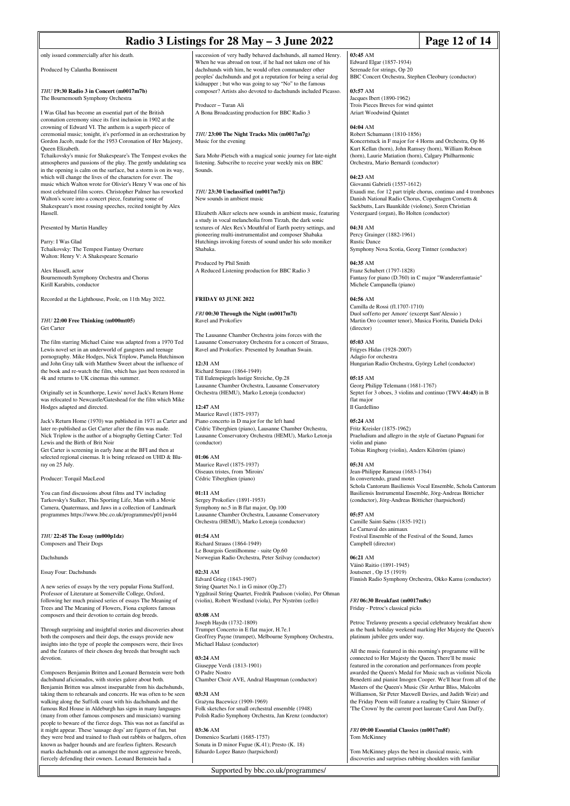| Radio 3 Listings for 28 May - 3 June 2022<br>Page 12 of 14                                                                                                                                                                                                          |                                                                                                                                                                                    |                                                                                                                                                                                                                                                                                                                                                                                                                                       |                                                                 |  |
|---------------------------------------------------------------------------------------------------------------------------------------------------------------------------------------------------------------------------------------------------------------------|------------------------------------------------------------------------------------------------------------------------------------------------------------------------------------|---------------------------------------------------------------------------------------------------------------------------------------------------------------------------------------------------------------------------------------------------------------------------------------------------------------------------------------------------------------------------------------------------------------------------------------|-----------------------------------------------------------------|--|
| only issued commercially after his death.                                                                                                                                                                                                                           | succession of very badly behaved dachshunds, all named Henry.                                                                                                                      | 03:45 AM                                                                                                                                                                                                                                                                                                                                                                                                                              |                                                                 |  |
| Produced by Calantha Bonnissent                                                                                                                                                                                                                                     | When he was abroad on tour, if he had not taken one of his<br>dachshunds with him, he would often commandeer other                                                                 | Edward Elgar (1857-1934)<br>Serenade for strings, Op 20                                                                                                                                                                                                                                                                                                                                                                               |                                                                 |  |
|                                                                                                                                                                                                                                                                     | peoples' dachshunds and got a reputation for being a serial dog<br>kidnapper; but who was going to say "No" to the famous                                                          | BBC Concert Orchestra, Stephen Cleobury (conductor)                                                                                                                                                                                                                                                                                                                                                                                   |                                                                 |  |
| THU 19:30 Radio 3 in Concert (m0017m7b)                                                                                                                                                                                                                             | composer? Artists also devoted to dachshunds included Picasso.                                                                                                                     | 03:57 AM                                                                                                                                                                                                                                                                                                                                                                                                                              |                                                                 |  |
| The Bournemouth Symphony Orchestra                                                                                                                                                                                                                                  | Producer - Turan Ali                                                                                                                                                               | Jacques Ibert (1890-1962)<br>Trois Pieces Breves for wind quintet                                                                                                                                                                                                                                                                                                                                                                     |                                                                 |  |
| I Was Glad has become an essential part of the British<br>coronation ceremony since its first inclusion in 1902 at the                                                                                                                                              | A Bona Broadcasting production for BBC Radio 3                                                                                                                                     | Ariart Woodwind Quintet                                                                                                                                                                                                                                                                                                                                                                                                               |                                                                 |  |
| crowning of Edward VI. The anthem is a superb piece of<br>ceremonial music; tonight, it's performed in an orchestration by<br>Gordon Jacob, made for the 1953 Coronation of Her Majesty,<br>Queen Elizabeth.                                                        | THU 23:00 The Night Tracks Mix (m0017m7g)<br>Music for the evening                                                                                                                 | 04:04 AM<br>Robert Schumann (1810-1856)<br>Koncertstuck in F major for 4 Horns and Orchestra, Op 86<br>Kurt Kellan (horn), John Ramsey (horn), William Robson<br>(horn), Laurie Matiation (horn), Calgary Philharmonic<br>Orchestra, Mario Bernardi (conductor)<br>04:23 AM<br>Giovanni Gabrieli (1557-1612)<br>Exaudi me, for 12 part triple chorus, continuo and 4 trombones<br>Danish National Radio Chorus, Copenhagen Cornetts & |                                                                 |  |
| Tchaikovsky's music for Shakespeare's The Tempest evokes the<br>atmospheres and passions of the play. The gently undulating sea<br>in the opening is calm on the surface, but a storm is on its way,<br>which will change the lives of the characters for ever. The | Sara Mohr-Pietsch with a magical sonic journey for late-night<br>listening. Subscribe to receive your weekly mix on BBC<br>Sounds.                                                 |                                                                                                                                                                                                                                                                                                                                                                                                                                       |                                                                 |  |
| music which Walton wrote for Olivier's Henry V was one of his<br>most celebrated film scores. Christopher Palmer has reworked<br>Walton's score into a concert piece, featuring some of                                                                             | THU 23:30 Unclassified (m0017m7j)<br>New sounds in ambient music                                                                                                                   |                                                                                                                                                                                                                                                                                                                                                                                                                                       |                                                                 |  |
| Shakespeare's most rousing speeches, recited tonight by Alex<br>Hassell.                                                                                                                                                                                            | Elizabeth Alker selects new sounds in ambient music, featuring                                                                                                                     | Sackbutts, Lars Baunkilde (violone), Soren Christian<br>Vestergaard (organ), Bo Holten (conductor)                                                                                                                                                                                                                                                                                                                                    |                                                                 |  |
| Presented by Martin Handley                                                                                                                                                                                                                                         | a study in vocal melancholia from Tirzah, the dark sonic<br>textures of Alex Rex's Mouthful of Earth poetry settings, and<br>pioneering multi-instrumentalist and composer Shabaka | 04:31 AM<br>Percy Grainger (1882-1961)                                                                                                                                                                                                                                                                                                                                                                                                |                                                                 |  |
| Parry: I Was Glad<br>Tchaikovsky: The Tempest Fantasy Overture<br>Walton: Henry V: A Shakespeare Scenario                                                                                                                                                           | Hutchings invoking forests of sound under his solo moniker<br>Shabaka.                                                                                                             | <b>Rustic Dance</b><br>Symphony Nova Scotia, Georg Tintner (conductor)                                                                                                                                                                                                                                                                                                                                                                |                                                                 |  |
| Alex Hassell, actor                                                                                                                                                                                                                                                 | Produced by Phil Smith<br>A Reduced Listening production for BBC Radio 3                                                                                                           | 04:35 AM<br>Franz Schubert (1797-1828)                                                                                                                                                                                                                                                                                                                                                                                                |                                                                 |  |
| Bournemouth Symphony Orchestra and Chorus<br>Kirill Karabits, conductor                                                                                                                                                                                             |                                                                                                                                                                                    | Fantasy for piano (D.760) in C major "Wandererfantasie"<br>Michele Campanella (piano)                                                                                                                                                                                                                                                                                                                                                 |                                                                 |  |
| Recorded at the Lighthouse, Poole, on 11th May 2022.                                                                                                                                                                                                                | <b>FRIDAY 03 JUNE 2022</b>                                                                                                                                                         | 04:56 AM<br>Camilla de Rossi (fl.1707-1710)                                                                                                                                                                                                                                                                                                                                                                                           |                                                                 |  |
| THU 22:00 Free Thinking (m000mt05)<br>Get Carter                                                                                                                                                                                                                    | FRI 00:30 Through the Night (m0017m7l)<br>Ravel and Prokofiev                                                                                                                      | Duol sofferto per Amore' (excerpt Sant'Alessio)<br>Martin Oro (counter tenor), Musica Fiorita, Daniela Dolci<br>(director)                                                                                                                                                                                                                                                                                                            |                                                                 |  |
| The film starring Michael Caine was adapted from a 1970 Ted<br>Lewis novel set in an underworld of gangsters and teenage                                                                                                                                            | The Lausanne Chamber Orchestra joins forces with the<br>Lausanne Conservatory Orchestra for a concert of Strauss,<br>Ravel and Prokofiev. Presented by Jonathan Swain.             | $05:03$ AM<br>Frigyes Hidas (1928-2007)                                                                                                                                                                                                                                                                                                                                                                                               |                                                                 |  |
| pornography. Mike Hodges, Nick Triplow, Pamela Hutchinson<br>and John Gray talk with Matthew Sweet about the influence of                                                                                                                                           | 12:31 AM                                                                                                                                                                           | Adagio for orchestra<br>Hungarian Radio Orchestra, György Lehel (conductor)                                                                                                                                                                                                                                                                                                                                                           |                                                                 |  |
| the book and re-watch the film, which has just been restored in<br>4k and returns to UK cinemas this summer.                                                                                                                                                        | Richard Strauss (1864-1949)<br>Till Eulenspiegels lustige Streiche, Op.28                                                                                                          | 05:15 AM                                                                                                                                                                                                                                                                                                                                                                                                                              |                                                                 |  |
| Originally set in Scunthorpe, Lewis' novel Jack's Return Home<br>was relocated to Newcastle/Gateshead for the film which Mike                                                                                                                                       | Lausanne Chamber Orchestra, Lausanne Conservatory<br>Orchestra (HEMU), Marko Letonja (conductor)                                                                                   | Georg Philipp Telemann (1681-1767)<br>flat major                                                                                                                                                                                                                                                                                                                                                                                      | Septet for 3 oboes, 3 violins and continuo (TWV.44:43) in B     |  |
| Hodges adapted and directed.                                                                                                                                                                                                                                        | 12:47 AM<br>Maurice Ravel (1875-1937)                                                                                                                                              | Il Gardellino                                                                                                                                                                                                                                                                                                                                                                                                                         |                                                                 |  |
| Jack's Return Home (1970) was published in 1971 as Carter and                                                                                                                                                                                                       | Piano concerto in D major for the left hand                                                                                                                                        | 05:24 AM                                                                                                                                                                                                                                                                                                                                                                                                                              |                                                                 |  |
| later re-published as Get Carter after the film was made.<br>Nick Triplow is the author of a biography Getting Carter: Ted                                                                                                                                          | Cédric Tiberghien (piano), Lausanne Chamber Orchestra,<br>Lausanne Conservatory Orchestra (HEMU), Marko Letonja                                                                    | Fritz Kreisler (1875-1962)<br>Praeludium and allegro in the style of Gaetano Pugnani for                                                                                                                                                                                                                                                                                                                                              |                                                                 |  |
| Lewis and the Birth of Brit Noir<br>Get Carter is screening in early June at the BFI and then at                                                                                                                                                                    | (conductor)                                                                                                                                                                        | violin and piano<br>Tobias Ringborg (violin), Anders Kilström (piano)                                                                                                                                                                                                                                                                                                                                                                 |                                                                 |  |
| selected regional cinemas. It is being released on UHD & Blu-                                                                                                                                                                                                       | 01:06 AM                                                                                                                                                                           |                                                                                                                                                                                                                                                                                                                                                                                                                                       |                                                                 |  |
| ray on 25 July.                                                                                                                                                                                                                                                     | Maurice Ravel (1875-1937)<br>Oiseaux tristes, from 'Miroirs'                                                                                                                       | 05:31 AM<br>Jean-Philippe Rameau (1683-1764)                                                                                                                                                                                                                                                                                                                                                                                          |                                                                 |  |
| Producer: Torquil MacLeod                                                                                                                                                                                                                                           | Cédric Tiberghien (piano)                                                                                                                                                          | In convertendo, grand motet                                                                                                                                                                                                                                                                                                                                                                                                           | Schola Cantorum Basiliensis Vocal Ensemble, Schola Cantorum     |  |
| You can find discussions about films and TV including<br>Tarkovsky's Stalker, This Sporting Life, Man with a Movie<br>Camera, Quatermass, and Jaws in a collection of Landmark                                                                                      | 01:11 AM<br>Sergey Prokofiev (1891-1953)<br>Symphony no.5 in B flat major, Op.100                                                                                                  | Basiliensis Instrumental Ensemble, Jörg-Andreas Bötticher<br>(conductor), Jörg-Andreas Bötticher (harpsichord)                                                                                                                                                                                                                                                                                                                        |                                                                 |  |
| programmes https://www.bbc.co.uk/programmes/p01jwn44                                                                                                                                                                                                                | Lausanne Chamber Orchestra, Lausanne Conservatory<br>Orchestra (HEMU), Marko Letonja (conductor)                                                                                   | 05:57 AM<br>Camille Saint-Saëns (1835-1921)<br>Le Carnaval des animaux                                                                                                                                                                                                                                                                                                                                                                |                                                                 |  |
| THU 22:45 The Essay (m000p1dz)<br>Composers and Their Dogs                                                                                                                                                                                                          | $01:54 \text{ AM}$<br>Richard Strauss (1864-1949)                                                                                                                                  | Festival Ensemble of the Festival of the Sound, James<br>Campbell (director)                                                                                                                                                                                                                                                                                                                                                          |                                                                 |  |
| Dachshunds                                                                                                                                                                                                                                                          | Le Bourgois Gentilhomme - suite Op.60<br>Norwegian Radio Orchestra, Peter Szilvay (conductor)                                                                                      | 06:21 AM                                                                                                                                                                                                                                                                                                                                                                                                                              |                                                                 |  |
| Essay Four: Dachshunds                                                                                                                                                                                                                                              | 02:31 AM                                                                                                                                                                           | Väinö Raitio (1891-1945)<br>Joutsenet, Op 15 (1919)                                                                                                                                                                                                                                                                                                                                                                                   |                                                                 |  |
| A new series of essays by the very popular Fiona Stafford,                                                                                                                                                                                                          | Edvard Grieg (1843-1907)<br>String Quartet No.1 in G minor (Op.27)                                                                                                                 |                                                                                                                                                                                                                                                                                                                                                                                                                                       | Finnish Radio Symphony Orchestra, Okko Kamu (conductor)         |  |
| Professor of Literature at Somerville College, Oxford,<br>following her much praised series of essays The Meaning of<br>Trees and The Meaning of Flowers, Fiona explores famous                                                                                     | Yggdrasil String Quartet, Fredrik Paulsson (violin), Per Ohman<br>(violin), Robert Westlund (viola), Per Nyström (cello)                                                           | FRI 06:30 Breakfast (m0017m8c)<br>Friday - Petroc's classical picks                                                                                                                                                                                                                                                                                                                                                                   |                                                                 |  |
| composers and their devotion to certain dog breeds.                                                                                                                                                                                                                 | 03:08 AM<br>Joseph Haydn (1732-1809)                                                                                                                                               |                                                                                                                                                                                                                                                                                                                                                                                                                                       | Petroc Trelawny presents a special celebratory breakfast show   |  |
| Through surprising and insightful stories and discoveries about<br>both the composers and their dogs, the essays provide new<br>insights into the type of people the composers were, their lives                                                                    | Trumpet Concerto in E flat major, H.7e.1<br>Geoffrey Payne (trumpet), Melbourne Symphony Orchestra,<br>Michael Halasz (conductor)                                                  | platinum jubilee gets under way.                                                                                                                                                                                                                                                                                                                                                                                                      | as the bank holiday weekend marking Her Majesty the Queen's     |  |
| and the features of their chosen dog breeds that brought such<br>devotion.                                                                                                                                                                                          | 03:24 AM<br>Giuseppe Verdi (1813-1901)                                                                                                                                             | All the music featured in this morning's programme will be<br>connected to Her Majesty the Queen. There'll be music<br>featured in the coronation and performances from people                                                                                                                                                                                                                                                        |                                                                 |  |
| Composers Benjamin Britten and Leonard Bernstein were both                                                                                                                                                                                                          | O Padre Nostro                                                                                                                                                                     |                                                                                                                                                                                                                                                                                                                                                                                                                                       | awarded the Queen's Medal for Music such as violinist Nicola    |  |
| dachshund aficionados, with stories galore about both.<br>Benjamin Britten was almost inseparable from his dachshunds,                                                                                                                                              | Chamber Choir AVE, Andraž Hauptman (conductor)                                                                                                                                     | Masters of the Queen's Music (Sir Arthur Bliss, Malcolm                                                                                                                                                                                                                                                                                                                                                                               | Benedetti and pianist Imogen Cooper. We'll hear from all of the |  |
| taking them to rehearsals and concerts. He was often to be seen<br>walking along the Suffolk coast with his dachshunds and the                                                                                                                                      | 03:31 AM<br>Grażyna Bacewicz (1909-1969)                                                                                                                                           | the Friday Poem will feature a reading by Claire Skinner of                                                                                                                                                                                                                                                                                                                                                                           | Williamson, Sir Peter Maxwell Davies, and Judith Weir) and      |  |
| famous Red House in Aldeburgh has signs in many languages<br>(many from other famous composers and musicians) warning                                                                                                                                               | Folk sketches for small orchestral ensemble (1948)<br>Polish Radio Symphony Orchestra, Jan Krenz (conductor)                                                                       | 'The Crown' by the current poet laureate Carol Ann Duffy.                                                                                                                                                                                                                                                                                                                                                                             |                                                                 |  |
| people to beware of the fierce dogs. This was not as fanciful as                                                                                                                                                                                                    |                                                                                                                                                                                    |                                                                                                                                                                                                                                                                                                                                                                                                                                       |                                                                 |  |
| it might appear. These 'sausage dogs' are figures of fun, but<br>they were bred and trained to flush out rabbits or badgers, often                                                                                                                                  | 03:36 AM<br>Domenico Scarlatti (1685-1757)                                                                                                                                         | FRI 09:00 Essential Classics (m0017m8f)<br>Tom McKinney                                                                                                                                                                                                                                                                                                                                                                               |                                                                 |  |
| known as badger hounds and are fearless fighters. Research<br>marks dachshunds out as amongst the most aggressive breeds,                                                                                                                                           | Sonata in D minor Fugue (K.41); Presto (K. 18)<br>Eduardo Lopez Banzo (harpsichord)                                                                                                | Tom McKinney plays the best in classical music, with                                                                                                                                                                                                                                                                                                                                                                                  |                                                                 |  |
| fiercely defending their owners. Leonard Bernstein had a                                                                                                                                                                                                            |                                                                                                                                                                                    | discoveries and surprises rubbing shoulders with familiar                                                                                                                                                                                                                                                                                                                                                                             |                                                                 |  |

Supported by bbc.co.uk/programmes/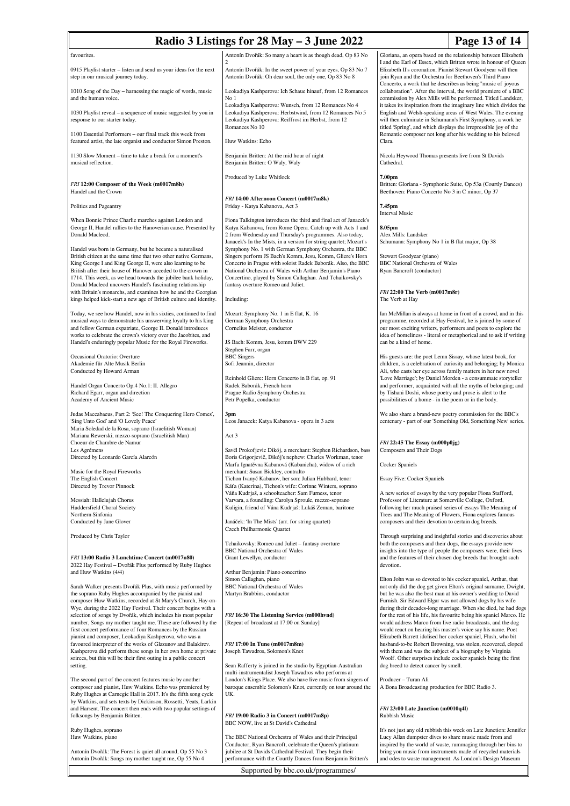# **Radio 3 Listings for 28 May – 3 June 2022** Page 13 of 14

## favourites.

0915 Playlist starter – listen and send us your ideas for the next step in our musical journey today.

1010 Song of the Day – harnessing the magic of words, music and the human voice.

1030 Playlist reveal – a sequence of music suggested by you in response to our starter today.

sential Performers – our final track this week from featured artist, the late organist and conductor Simon Preston.

1130 Slow Moment – time to take a break for a moment's musical reflection.

*FRI* **12:00 Composer of the Week (m0017m8h)** Handel and the Crown

Politics and Pageantry

When Bonnie Prince Charlie marches against London and George II, Handel rallies to the Hanoverian cause. Presented by Donald Macleod.

Handel was born in Germany, but he became a naturalised British citizen at the same time that two other native German King George I and King George II, were also learning to be British after their house of Hanover acceded to the crown in 1714. This week, as we head towards the jubilee bank holiday, Donald Macleod uncovers Handel's fascinating relationship with Britain's monarchs, and examines how he and the Georgian kings helped kick-start a new age of British culture and identity.

Today, we see how Handel, now in his sixties, continued to find musical ways to demonstrate his unswerving loyalty to his king and fellow German expatriate, George II. Donald introduces works to celebrate the crown's victory over the Jacobites, and Handel's enduringly popular Music for the Royal Fireworks.

Occasional Oratorio: Overture Akademie für Alte Musik Berlin Conducted by Howard Arman

Handel Organ Concerto Op.4 No.1: II. Allegro Richard Egarr, organ and direction Academy of Ancient Music

Judas Maccabaeus, Part 2: 'See! The Conquering Hero Comes', 'Sing Unto God' and 'O Lovely Peace' Maria Soledad de la Rosa, soprano (Israelitish Woman) Mariana Rewerski, mezzo-soprano (Israelitish Man) Choeur de Chambre de Namur Les Agréme Directed by Leonardo García Alarcón

Music for the Royal Fireworks The English Concert Directed by Trevor Pinnock

Messiah: Hallelujah Chorus Huddersfield Choral Society Northern Sinfonia Conducted by Jane Glover

Produced by Chris Taylor

*FRI* **13:00 Radio 3 Lunchtime Concert (m0017n80)** 2022 Hay Festival – Dvořák Plus performed by Ruby Hughes and Huw Watkins (4/4)

Sarah Walker presents Dvořák Plus, with music performed by the soprano Ruby Hughes accompanied by the pianist and composer Huw Watkins, recorded at St Mary's Church, Hay-on-Wye, during the 2022 Hay Festival. Their concert begins with a selection of songs by Dvořák, which includes his most popular number, Songs my mother taught me. These are followed by the first concert performance of four Romances by the Russian pianist and composer, Leokadiya Kashperova, who was a favoured interpreter of the works of Glazunov and Balakirev. Kashperova did perform these songs in her own home at private soirees, but this will be their first outing in a public concert setting.

The second part of the concert features music by another composer and pianist, Huw Watkins. Echo was premiered by Ruby Hughes at Carnegie Hall in 2017. It's the fifth song cycle by Watkins, and sets texts by Dickinson, Rossetti, Yeats, Larkin and Harsent. The concert then ends with two popular settings of folksongs by Benjamin Britten.

Ruby Hughes, soprano Huw Watkins, piano

Antonín Dvořák: The Forest is quiet all around, Op 55 No 3 Antonín Dvořák: Songs my mother taught me, Op 55 No 4

Antonín Dvořák: So many a heart is as though dead, Op 83 No 2

Antonín Dvořák: In the sweet power of your eyes, Op 83 No 7 Antonín Dvořák: Oh dear soul, the only one, Op 83 No 8

Leokadiya Kashperova: Ich Schaue hinauf, from 12 Romances

Leokadiya Kashperova: Wunsch, from 12 Romances No 4 Leokadiya Kashperova: Herbstwind, from 12 Romances No 5 Leokadiya Kashperova: Reiffrost im Herbst, from 12 Romances No 10

Huw Watkins: Echo

No 1

Benjamin Britten: At the mid hour of night Benjamin Britten: O Waly, Waly

Produced by Luke Whitlock

*FRI* **14:00 Afternoon Concert (m0017m8k)** Friday - Katya Kabanova, Act 3

Fiona Talkington introduces the third and final act of Janacek's Katya Kabanova, from Rome Opera. Catch up with Acts 1 and 2 from Wednesday and Thursday's programmes. Also today, Janacek's In the Mists, in a version for string quartet; Mozart's Symphony No. 1 with German Symphony Orchestra, the BBC Singers perform JS Bach's Komm, Jesu, Komm, Gliere's Horn Concerto in Prague with soloist Radek Baborák. Also, the BBC National Orchestra of Wales with Arthur Benjamin's Piano Concertino, played by Simon Callaghan. And Tchaikovsky's fantasy overture Romeo and Juliet.

Including:

Mozart: Symphony No. 1 in E flat, K. 16 German Symphony Orchestra Cornelius Meister, conductor

JS Bach: Komm, Jesu, komm BWV 229 Stephen Farr, organ BBC Singers Sofi Jeannin, director

Reinhold Gliere: Horn Concerto in B flat, op. 91 Radek Baborák, French horn Prague Radio Symphony Orchestra Petr Popelka, conductor

**3pm** Leos Janacek: Katya Kabanova - opera in 3 acts

Act 3

Savël Prokofjevic Dikój, a merchant: Stephen Richardson, bass Boris Grigorjevič, Dikój's nephew: Charles Workman, tenor Marfa Ignatěvna Kabanová (Kabanicha), widow of a rich merchant: Susan Bickley, contralto Tichon Ivanyč Kabanov, her son: Julian Hubbard, tenor Káťa (Katerina), Tichon's wife: Corinne Winters, soprano Váňa Kudrjaš, a schoolteacher: Sam Furness, tenor Varvara, a foundling: Carolyn Sproule, mezzo-soprano Kuligin, friend of Vána Kudrjaš: Lukáš Zeman, baritone

Janáček: 'In The Mists' (arr. for string quartet) Czech Philharmonic Quartet

Tchaikovsky: Romeo and Juliet – fantasy overture BBC National Orchestra of Wales Grant Lewellyn, conductor

Arthur Benjamin: Piano concertino Simon Callaghan, piano BBC National Orchestra of Wales Martyn Brabbins, conductor

*FRI* **16:30 The Listening Service (m000hvnd)** [Repeat of broadcast at 17:00 on Sunday]

*FRI* **17:00 In Tune (m0017m8m)** Joseph Tawadros, Solomon's Knot

Sean Rafferty is joined in the studio by Egyptian-Australian multi-instrumentalist Joseph Tawadros who performs at London's Kings Place. We also have live music from singers of baroque ensemble Solomon's Knot, currently on tour around the UK.

*FRI* **19:00 Radio 3 in Concert (m0017m8p)** BBC NOW, live at St David's Cathedral

The BBC National Orchestra of Wales and their Principal Conductor, Ryan Bancroft, celebrate the Queen's platinum jubilee at St Davids Cathedral Festival. They begin their performance with the Courtly Dances from Benjamin Britten's Gloriana, an opera based on the relationship between Elizabeth I and the Earl of Essex, which Britten wrote in honour of Oueen Elizabeth II's coronation. Pianist Stewart Goodyear will the join Ryan and the Orchestra for Beethoven's Third Piano Concerto, a work that he describes as being "music of joyous collaboration". After the interval, the world premiere of a BBC commission by Alex Mills will be performed. Titled Landsker, it takes its inspiration from the imaginary line which divides the English and Welsh-speaking areas of West Wales. The evening will then culminate in Schumann's First Symphony, a work he titled 'Spring', and which displays the irrepressible joy of the Romantic composer not long after his wedding to his beloved Clara.

Nicola Heywood Thomas presents live from St Davids Cathedral.

**7.00pm**

Britten: Gloriana - Symphonic Suite, Op 53a (Courtly Dances) Beethoven: Piano Concerto No 3 in C minor, Op 37

**7.45pm** Interval Music

**8.05pm** Alex Mills: Landsker Schumann: Symphony No 1 in B flat major, Op 38

Stewart Goodyear (piano) BBC National Orchestra of Wales Ryan Bancroft (conductor)

*FRI* **22:00 The Verb (m0017m8r)** The Verb at Hay

Ian McMillan is always at home in front of a crowd, and in this programme, recorded at Hay Festival, he is joined by some of our most exciting writers, performers and poets to explore the idea of homeliness - literal or metaphorical and to ask if writing can be a kind of home.

His guests are: the poet Lemn Sissay, whose latest book, for children, is a celebration of curiosity and belonging; by Monica Ali, who casts her eye across family matters in her new novel 'Love Marriage'; by Daniel Morden - a consummate storyteller and performer, acquainted with all the myths of belonging; and by Tishani Doshi, whose poetry and prose is alert to the ssibilities of a home - in the poem or in the body.

We also share a brand-new poetry commission for the BBC's centenary - part of our 'Something Old, Something New' series.

*FRI* **22:45 The Essay (m000p0jg)** Composers and Their Dogs

Cocker Spaniels

Essay Five: Cocker Spaniels

A new series of essays by the very popular Fiona Stafford, Professor of Literature at Somerville College, Oxford, following her much praised series of essays The Meaning of Trees and The Meaning of Flowers, Fiona explores fam composers and their devotion to certain dog breeds.

Through surprising and insightful stories and discoveries about both the composers and their dogs, the essays provide new insights into the type of people the composers were, their lives and the features of their chosen dog breeds that brought such devotion.

Elton John was so devoted to his cocker spaniel, Arthur, that not only did the dog get given Elton's original surname, Dwight, but he was also the best man at his owner's wedding to David Furnish. Sir Edward Elgar was not allowed dogs by his wife during their decades-long marriage. When she died, he had dogs for the rest of his life, his favourite being his spaniel Marco. He would address Marco from live radio broadcasts, and the dog would react on hearing his master's voice say his name. Poet Elizabeth Barrett idolised her cocker spaniel, Flush, who bit husband-to-be Robert Browning, was stolen, recovered, eloped with them and was the subject of a biography by Virginia<br>Woolf, Other surprises include cocker spaniels being the first Woolf. Other surprises include cocker spa dog breed to detect cancer by smell.

Producer – Turan Ali A Bona Broadcasting production for BBC Radio 3.

*FRI* **23:00 Late Junction (m0010q4l)** Rubbish Music

It's not just any old rubbish this week on Late Junction: Jennifer Lucy Allan dumpster dives to share music made from and inspired by the world of waste, rummaging through her bins to bring you music from instruments made of recycled materials and odes to waste management. As London's Design Museum